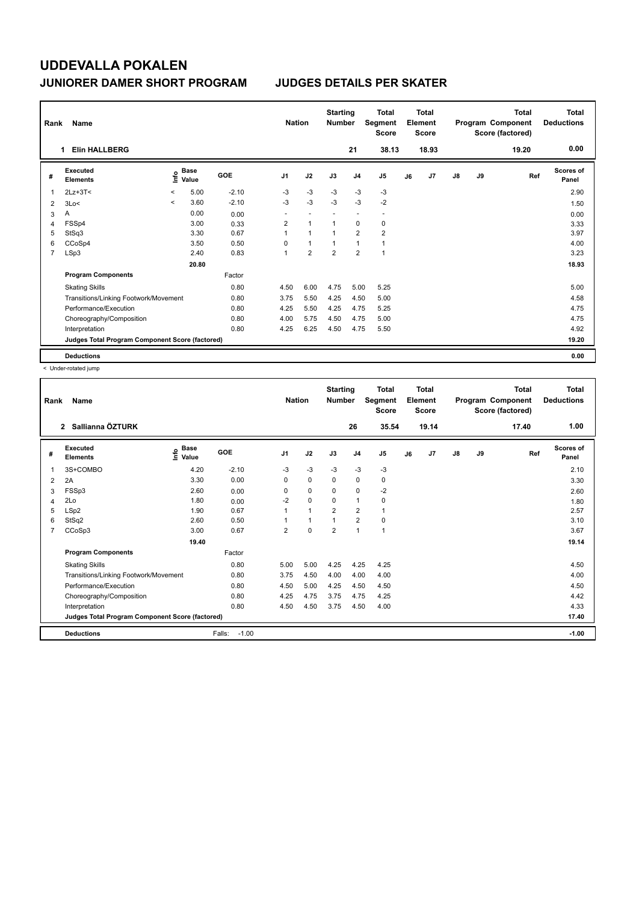| Rank           | Name                                            |         |                      |         | <b>Nation</b>            |                | <b>Starting</b><br><b>Number</b> |                | <b>Total</b><br>Segment<br><b>Score</b> |    | <b>Total</b><br>Element<br><b>Score</b> |               |    | Total<br>Program Component<br>Score (factored) | Total<br><b>Deductions</b> |
|----------------|-------------------------------------------------|---------|----------------------|---------|--------------------------|----------------|----------------------------------|----------------|-----------------------------------------|----|-----------------------------------------|---------------|----|------------------------------------------------|----------------------------|
|                | <b>Elin HALLBERG</b><br>1.                      |         |                      |         |                          |                |                                  | 21             | 38.13                                   |    | 18.93                                   |               |    | 19.20                                          | 0.00                       |
| #              | Executed<br><b>Elements</b>                     | ١nf٥    | <b>Base</b><br>Value | GOE     | J <sub>1</sub>           | J2             | J3                               | J <sub>4</sub> | J <sub>5</sub>                          | J6 | J7                                      | $\mathsf{J}8$ | J9 | Ref                                            | <b>Scores of</b><br>Panel  |
| 1              | $2Lz + 3T <$                                    | $\,<$   | 5.00                 | $-2.10$ | -3                       | $-3$           | $-3$                             | -3             | -3                                      |    |                                         |               |    |                                                | 2.90                       |
| 2              | 3Lo<                                            | $\prec$ | 3.60                 | $-2.10$ | $-3$                     | $-3$           | $-3$                             | $-3$           | $-2$                                    |    |                                         |               |    |                                                | 1.50                       |
| 3              | Α                                               |         | 0.00                 | 0.00    | $\overline{\phantom{0}}$ |                |                                  | ٠              | $\overline{\phantom{a}}$                |    |                                         |               |    |                                                | 0.00                       |
| 4              | FSSp4                                           |         | 3.00                 | 0.33    | $\overline{2}$           | $\overline{1}$ | $\overline{1}$                   | $\mathbf 0$    | 0                                       |    |                                         |               |    |                                                | 3.33                       |
| 5              | StSq3                                           |         | 3.30                 | 0.67    | 1                        | $\overline{1}$ | -1                               | $\overline{2}$ | $\overline{2}$                          |    |                                         |               |    |                                                | 3.97                       |
| 6              | CCoSp4                                          |         | 3.50                 | 0.50    | 0                        | $\overline{1}$ | $\overline{1}$                   | $\overline{1}$ | $\mathbf{1}$                            |    |                                         |               |    |                                                | 4.00                       |
| $\overline{7}$ | LSp3                                            |         | 2.40                 | 0.83    | 1                        | $\overline{2}$ | $\overline{2}$                   | $\overline{2}$ | $\overline{1}$                          |    |                                         |               |    |                                                | 3.23                       |
|                |                                                 |         | 20.80                |         |                          |                |                                  |                |                                         |    |                                         |               |    |                                                | 18.93                      |
|                | <b>Program Components</b>                       |         |                      | Factor  |                          |                |                                  |                |                                         |    |                                         |               |    |                                                |                            |
|                | <b>Skating Skills</b>                           |         |                      | 0.80    | 4.50                     | 6.00           | 4.75                             | 5.00           | 5.25                                    |    |                                         |               |    |                                                | 5.00                       |
|                | Transitions/Linking Footwork/Movement           |         |                      | 0.80    | 3.75                     | 5.50           | 4.25                             | 4.50           | 5.00                                    |    |                                         |               |    |                                                | 4.58                       |
|                | Performance/Execution                           |         |                      | 0.80    | 4.25                     | 5.50           | 4.25                             | 4.75           | 5.25                                    |    |                                         |               |    |                                                | 4.75                       |
|                | Choreography/Composition                        |         |                      | 0.80    | 4.00                     | 5.75           | 4.50                             | 4.75           | 5.00                                    |    |                                         |               |    |                                                | 4.75                       |
|                | Interpretation                                  |         |                      | 0.80    | 4.25                     | 6.25           | 4.50                             | 4.75           | 5.50                                    |    |                                         |               |    |                                                | 4.92                       |
|                | Judges Total Program Component Score (factored) |         |                      |         |                          |                |                                  |                |                                         |    |                                         |               |    |                                                | 19.20                      |
|                | <b>Deductions</b>                               |         |                      |         |                          |                |                                  |                |                                         |    |                                         |               |    |                                                | 0.00                       |

< Under-rotated jump

| $\overline{2}$<br>Executed<br>#<br><b>Elements</b><br>3S+COMBO<br>1<br>2A<br>$\overline{2}$<br>FSSp3<br>3<br>2Lo<br>4<br>LSp2<br>5 | <b>Name</b>                                     |                      |         | <b>Nation</b>  |          | <b>Number</b>  |                | Segment<br><b>Score</b> |    | Element<br><b>Score</b> |               |    | Program Component<br>Score (factored) | <b>Total</b><br><b>Deductions</b> |
|------------------------------------------------------------------------------------------------------------------------------------|-------------------------------------------------|----------------------|---------|----------------|----------|----------------|----------------|-------------------------|----|-------------------------|---------------|----|---------------------------------------|-----------------------------------|
|                                                                                                                                    | Sallianna ÖZTURK                                |                      |         |                |          |                | 26             | 35.54                   |    | 19.14                   |               |    | 17.40                                 | 1.00                              |
|                                                                                                                                    | lnfo                                            | <b>Base</b><br>Value | GOE     | J <sub>1</sub> | J2       | J3             | J <sub>4</sub> | J <sub>5</sub>          | J6 | J7                      | $\mathsf{J}8$ | J9 | Ref                                   | <b>Scores of</b><br>Panel         |
|                                                                                                                                    |                                                 | 4.20                 | $-2.10$ | $-3$           | $-3$     | $-3$           | $-3$           | $-3$                    |    |                         |               |    |                                       | 2.10                              |
|                                                                                                                                    |                                                 | 3.30                 | 0.00    | 0              | 0        | $\Omega$       | 0              | 0                       |    |                         |               |    |                                       | 3.30                              |
|                                                                                                                                    |                                                 | 2.60                 | 0.00    | 0              | 0        | 0              | 0              | $-2$                    |    |                         |               |    |                                       | 2.60                              |
|                                                                                                                                    |                                                 | 1.80                 | 0.00    | $-2$           | 0        | 0              | $\mathbf{1}$   | 0                       |    |                         |               |    |                                       | 1.80                              |
|                                                                                                                                    |                                                 | 1.90                 | 0.67    | 1              | 1        | $\overline{2}$ | $\overline{2}$ | 1                       |    |                         |               |    |                                       | 2.57                              |
| StSq2<br>6                                                                                                                         |                                                 | 2.60                 | 0.50    | 1              | 1        | 1              | $\overline{2}$ | 0                       |    |                         |               |    |                                       | 3.10                              |
| CCoSp3<br>$\overline{7}$                                                                                                           |                                                 | 3.00                 | 0.67    | $\overline{2}$ | $\Omega$ | $\overline{2}$ | $\mathbf{1}$   | $\mathbf{1}$            |    |                         |               |    |                                       | 3.67                              |
|                                                                                                                                    |                                                 | 19.40                |         |                |          |                |                |                         |    |                         |               |    |                                       | 19.14                             |
|                                                                                                                                    | <b>Program Components</b>                       |                      | Factor  |                |          |                |                |                         |    |                         |               |    |                                       |                                   |
| <b>Skating Skills</b>                                                                                                              |                                                 |                      | 0.80    | 5.00           | 5.00     | 4.25           | 4.25           | 4.25                    |    |                         |               |    |                                       | 4.50                              |
|                                                                                                                                    | Transitions/Linking Footwork/Movement           |                      | 0.80    | 3.75           | 4.50     | 4.00           | 4.00           | 4.00                    |    |                         |               |    |                                       | 4.00                              |
|                                                                                                                                    | Performance/Execution                           |                      | 0.80    | 4.50           | 5.00     | 4.25           | 4.50           | 4.50                    |    |                         |               |    |                                       | 4.50                              |
|                                                                                                                                    | Choreography/Composition                        |                      | 0.80    | 4.25           | 4.75     | 3.75           | 4.75           | 4.25                    |    |                         |               |    |                                       | 4.42                              |
| Interpretation                                                                                                                     |                                                 |                      | 0.80    | 4.50           | 4.50     | 3.75           | 4.50           | 4.00                    |    |                         |               |    |                                       | 4.33                              |
|                                                                                                                                    | Judges Total Program Component Score (factored) |                      |         |                |          |                |                |                         |    |                         |               |    |                                       | 17.40                             |
| <b>Deductions</b>                                                                                                                  |                                                 |                      |         |                |          |                |                |                         |    |                         |               |    |                                       |                                   |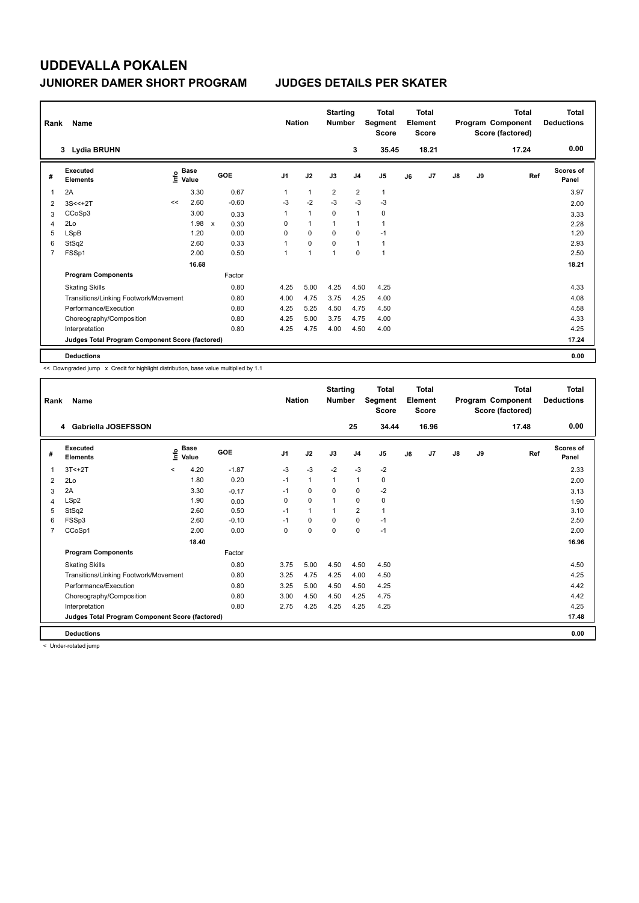| Rank           | Name                                            |                   |             |                                   | <b>Nation</b>  |                | <b>Starting</b><br><b>Number</b> |                | <b>Total</b><br>Segment<br><b>Score</b> |    | Total<br>Element<br><b>Score</b> |               |    | <b>Total</b><br>Program Component<br>Score (factored) | <b>Total</b><br><b>Deductions</b> |
|----------------|-------------------------------------------------|-------------------|-------------|-----------------------------------|----------------|----------------|----------------------------------|----------------|-----------------------------------------|----|----------------------------------|---------------|----|-------------------------------------------------------|-----------------------------------|
|                | Lydia BRUHN<br>3                                |                   |             |                                   |                |                |                                  | 3              | 35.45                                   |    | 18.21                            |               |    | 17.24                                                 | 0.00                              |
| #              | Executed<br><b>Elements</b>                     | e Base<br>⊆ Value | <b>Base</b> | GOE                               | J <sub>1</sub> | J2             | J3                               | J <sub>4</sub> | J <sub>5</sub>                          | J6 | J7                               | $\mathsf{J}8$ | J9 | Ref                                                   | <b>Scores of</b><br>Panel         |
| 1              | 2A                                              |                   | 3.30        | 0.67                              | 1              | $\mathbf{1}$   | $\overline{2}$                   | $\overline{2}$ | $\mathbf{1}$                            |    |                                  |               |    |                                                       | 3.97                              |
| 2              | $3S < +2T$                                      | <<                | 2.60        | $-0.60$                           | $-3$           | $-2$           | $-3$                             | $-3$           | $-3$                                    |    |                                  |               |    |                                                       | 2.00                              |
| 3              | CCoSp3                                          |                   | 3.00        | 0.33                              | 1              | $\mathbf{1}$   | 0                                | 1              | 0                                       |    |                                  |               |    |                                                       | 3.33                              |
| 4              | 2Lo                                             |                   | 1.98        | 0.30<br>$\boldsymbol{\mathsf{x}}$ | 0              | $\mathbf{1}$   | 1                                | $\overline{1}$ |                                         |    |                                  |               |    |                                                       | 2.28                              |
| 5              | LSpB                                            |                   | 1.20        | 0.00                              | 0              | $\Omega$       | $\Omega$                         | $\mathbf 0$    | $-1$                                    |    |                                  |               |    |                                                       | 1.20                              |
| 6              | StSq2                                           |                   | 2.60        | 0.33                              | 1              | $\mathbf 0$    | 0                                | 1              | $\mathbf{1}$                            |    |                                  |               |    |                                                       | 2.93                              |
| $\overline{7}$ | FSSp1                                           |                   | 2.00        | 0.50                              | 1              | $\overline{1}$ | $\overline{1}$                   | $\mathbf 0$    | 1                                       |    |                                  |               |    |                                                       | 2.50                              |
|                |                                                 |                   | 16.68       |                                   |                |                |                                  |                |                                         |    |                                  |               |    |                                                       | 18.21                             |
|                | <b>Program Components</b>                       |                   |             | Factor                            |                |                |                                  |                |                                         |    |                                  |               |    |                                                       |                                   |
|                | <b>Skating Skills</b>                           |                   |             | 0.80                              | 4.25           | 5.00           | 4.25                             | 4.50           | 4.25                                    |    |                                  |               |    |                                                       | 4.33                              |
|                | Transitions/Linking Footwork/Movement           |                   |             | 0.80                              | 4.00           | 4.75           | 3.75                             | 4.25           | 4.00                                    |    |                                  |               |    |                                                       | 4.08                              |
|                | Performance/Execution                           |                   |             | 0.80                              | 4.25           | 5.25           | 4.50                             | 4.75           | 4.50                                    |    |                                  |               |    |                                                       | 4.58                              |
|                | Choreography/Composition                        |                   |             | 0.80                              | 4.25           | 5.00           | 3.75                             | 4.75           | 4.00                                    |    |                                  |               |    |                                                       | 4.33                              |
|                | Interpretation                                  |                   |             | 0.80                              | 4.25           | 4.75           | 4.00                             | 4.50           | 4.00                                    |    |                                  |               |    |                                                       | 4.25                              |
|                | Judges Total Program Component Score (factored) |                   |             |                                   |                |                |                                  |                |                                         |    |                                  |               |    |                                                       | 17.24                             |
|                | <b>Deductions</b>                               |                   |             |                                   |                |                |                                  |                |                                         |    |                                  |               |    |                                                       | 0.00                              |

<< Downgraded jump x Credit for highlight distribution, base value multiplied by 1.1

| Rank | Name                                            |         |                      |         | <b>Nation</b>  |              | <b>Starting</b><br><b>Number</b> |                | <b>Total</b><br>Segment<br><b>Score</b> |    | Total<br>Element<br><b>Score</b> |               |    | <b>Total</b><br>Program Component<br>Score (factored) | <b>Total</b><br><b>Deductions</b> |
|------|-------------------------------------------------|---------|----------------------|---------|----------------|--------------|----------------------------------|----------------|-----------------------------------------|----|----------------------------------|---------------|----|-------------------------------------------------------|-----------------------------------|
|      | Gabriella JOSEFSSON<br>4                        |         |                      |         |                |              |                                  | 25             | 34.44                                   |    | 16.96                            |               |    | 17.48                                                 | 0.00                              |
| #    | Executed<br><b>Elements</b>                     | ۴o      | <b>Base</b><br>Value | GOE     | J <sub>1</sub> | J2           | J3                               | J <sub>4</sub> | J5                                      | J6 | J7                               | $\mathsf{J}8$ | J9 | Ref                                                   | Scores of<br>Panel                |
| 1    | $3T < +2T$                                      | $\,<\,$ | 4.20                 | $-1.87$ | $-3$           | $-3$         | $-2$                             | $-3$           | $-2$                                    |    |                                  |               |    |                                                       | 2.33                              |
| 2    | 2Lo                                             |         | 1.80                 | 0.20    | $-1$           | $\mathbf{1}$ | 1                                | $\mathbf{1}$   | 0                                       |    |                                  |               |    |                                                       | 2.00                              |
| 3    | 2A                                              |         | 3.30                 | $-0.17$ | $-1$           | 0            | 0                                | 0              | $-2$                                    |    |                                  |               |    |                                                       | 3.13                              |
| 4    | LSp2                                            |         | 1.90                 | 0.00    | $\Omega$       | $\Omega$     |                                  | 0              | 0                                       |    |                                  |               |    |                                                       | 1.90                              |
| 5    | StSq2                                           |         | 2.60                 | 0.50    | $-1$           | $\mathbf{1}$ |                                  | $\overline{2}$ | 1                                       |    |                                  |               |    |                                                       | 3.10                              |
| 6    | FSSp3                                           |         | 2.60                 | $-0.10$ | $-1$           | $\mathbf 0$  | $\Omega$                         | 0              | $-1$                                    |    |                                  |               |    |                                                       | 2.50                              |
| 7    | CCoSp1                                          |         | 2.00                 | 0.00    | $\Omega$       | $\mathbf 0$  | $\Omega$                         | $\mathbf 0$    | $-1$                                    |    |                                  |               |    |                                                       | 2.00                              |
|      |                                                 |         | 18.40                |         |                |              |                                  |                |                                         |    |                                  |               |    |                                                       | 16.96                             |
|      | <b>Program Components</b>                       |         |                      | Factor  |                |              |                                  |                |                                         |    |                                  |               |    |                                                       |                                   |
|      | <b>Skating Skills</b>                           |         |                      | 0.80    | 3.75           | 5.00         | 4.50                             | 4.50           | 4.50                                    |    |                                  |               |    |                                                       | 4.50                              |
|      | Transitions/Linking Footwork/Movement           |         |                      | 0.80    | 3.25           | 4.75         | 4.25                             | 4.00           | 4.50                                    |    |                                  |               |    |                                                       | 4.25                              |
|      | Performance/Execution                           |         |                      | 0.80    | 3.25           | 5.00         | 4.50                             | 4.50           | 4.25                                    |    |                                  |               |    |                                                       | 4.42                              |
|      | Choreography/Composition                        |         |                      | 0.80    | 3.00           | 4.50         | 4.50                             | 4.25           | 4.75                                    |    |                                  |               |    |                                                       | 4.42                              |
|      | Interpretation                                  |         |                      | 0.80    | 2.75           | 4.25         | 4.25                             | 4.25           | 4.25                                    |    |                                  |               |    |                                                       | 4.25                              |
|      | Judges Total Program Component Score (factored) |         |                      |         |                |              |                                  |                |                                         |    |                                  |               |    |                                                       | 17.48                             |
|      | <b>Deductions</b>                               |         |                      |         |                |              |                                  |                |                                         |    |                                  |               |    |                                                       | 0.00                              |

< Under-rotated jump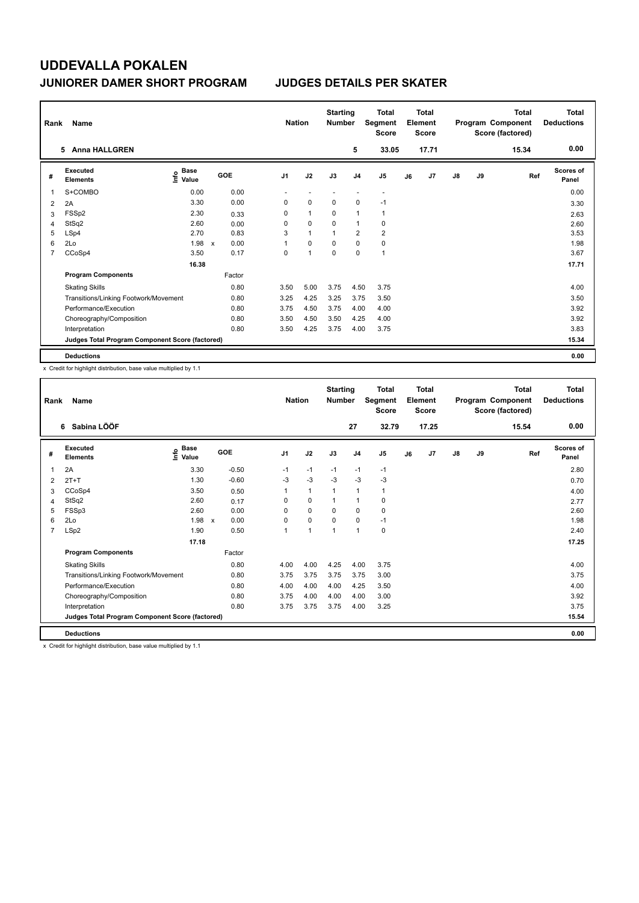| Rank           | Name                                            |                                  |                                   | <b>Nation</b>  |                | <b>Starting</b><br><b>Number</b> |                | <b>Total</b><br>Segment<br><b>Score</b> |    | <b>Total</b><br>Element<br><b>Score</b> |               |    | <b>Total</b><br>Program Component<br>Score (factored) | Total<br><b>Deductions</b> |
|----------------|-------------------------------------------------|----------------------------------|-----------------------------------|----------------|----------------|----------------------------------|----------------|-----------------------------------------|----|-----------------------------------------|---------------|----|-------------------------------------------------------|----------------------------|
|                | <b>Anna HALLGREN</b><br>5.                      |                                  |                                   |                |                |                                  | 5              | 33.05                                   |    | 17.71                                   |               |    | 15.34                                                 | 0.00                       |
| #              | Executed<br><b>Elements</b>                     | <b>Base</b><br>e Base<br>⊆ Value | GOE                               | J <sub>1</sub> | J2             | J3                               | J <sub>4</sub> | J <sub>5</sub>                          | J6 | J7                                      | $\mathsf{J}8$ | J9 | Ref                                                   | Scores of<br>Panel         |
| 1              | S+COMBO                                         | 0.00                             | 0.00                              |                |                |                                  |                | $\overline{\phantom{a}}$                |    |                                         |               |    |                                                       | 0.00                       |
| 2              | 2A                                              | 3.30                             | 0.00                              | 0              | $\mathbf 0$    | $\mathbf 0$                      | $\mathbf 0$    | $-1$                                    |    |                                         |               |    |                                                       | 3.30                       |
| 3              | FSSp2                                           | 2.30                             | 0.33                              | 0              | $\mathbf{1}$   | $\Omega$                         | $\mathbf{1}$   | $\mathbf{1}$                            |    |                                         |               |    |                                                       | 2.63                       |
| 4              | StSq2                                           | 2.60                             | 0.00                              | 0              | 0              | $\Omega$                         | $\mathbf{1}$   | 0                                       |    |                                         |               |    |                                                       | 2.60                       |
| 5              | LSp4                                            | 2.70                             | 0.83                              | 3              | $\overline{1}$ | $\overline{1}$                   | $\overline{2}$ | $\overline{2}$                          |    |                                         |               |    |                                                       | 3.53                       |
| 6              | 2Lo                                             | 1.98                             | 0.00<br>$\boldsymbol{\mathsf{x}}$ | 1              | $\mathbf 0$    | $\mathbf 0$                      | $\mathbf 0$    | $\mathbf 0$                             |    |                                         |               |    |                                                       | 1.98                       |
| $\overline{7}$ | CCoSp4                                          | 3.50                             | 0.17                              | 0              | $\overline{1}$ | $\pmb{0}$                        | $\mathbf 0$    | $\mathbf{1}$                            |    |                                         |               |    |                                                       | 3.67                       |
|                |                                                 | 16.38                            |                                   |                |                |                                  |                |                                         |    |                                         |               |    |                                                       | 17.71                      |
|                | <b>Program Components</b>                       |                                  | Factor                            |                |                |                                  |                |                                         |    |                                         |               |    |                                                       |                            |
|                | <b>Skating Skills</b>                           |                                  | 0.80                              | 3.50           | 5.00           | 3.75                             | 4.50           | 3.75                                    |    |                                         |               |    |                                                       | 4.00                       |
|                | Transitions/Linking Footwork/Movement           |                                  | 0.80                              | 3.25           | 4.25           | 3.25                             | 3.75           | 3.50                                    |    |                                         |               |    |                                                       | 3.50                       |
|                | Performance/Execution                           |                                  | 0.80                              | 3.75           | 4.50           | 3.75                             | 4.00           | 4.00                                    |    |                                         |               |    |                                                       | 3.92                       |
|                | Choreography/Composition                        |                                  | 0.80                              | 3.50           | 4.50           | 3.50                             | 4.25           | 4.00                                    |    |                                         |               |    |                                                       | 3.92                       |
|                | Interpretation                                  |                                  | 0.80                              | 3.50           | 4.25           | 3.75                             | 4.00           | 3.75                                    |    |                                         |               |    |                                                       | 3.83                       |
|                | Judges Total Program Component Score (factored) |                                  |                                   |                |                |                                  |                |                                         |    |                                         |               |    |                                                       | 15.34                      |
|                | <b>Deductions</b>                               |                                  |                                   |                |                |                                  |                |                                         |    |                                         |               |    |                                                       | 0.00                       |

x Credit for highlight distribution, base value multiplied by 1.1

| Rank           | Name                                            |                            |                      | <b>Nation</b>  |              | <b>Starting</b><br><b>Number</b> |                | <b>Total</b><br>Segment<br><b>Score</b> |    | <b>Total</b><br>Element<br><b>Score</b> |    |    | <b>Total</b><br>Program Component<br>Score (factored) | <b>Total</b><br><b>Deductions</b> |
|----------------|-------------------------------------------------|----------------------------|----------------------|----------------|--------------|----------------------------------|----------------|-----------------------------------------|----|-----------------------------------------|----|----|-------------------------------------------------------|-----------------------------------|
|                | Sabina LÖÖF<br>6                                |                            |                      |                |              |                                  | 27             | 32.79                                   |    | 17.25                                   |    |    | 15.54                                                 | 0.00                              |
| #              | Executed<br><b>Elements</b>                     | <b>Base</b><br>۴o<br>Value | <b>GOE</b>           | J <sub>1</sub> | J2           | J3                               | J <sub>4</sub> | J <sub>5</sub>                          | J6 | J7                                      | J8 | J9 | Ref                                                   | <b>Scores of</b><br>Panel         |
| 1              | 2A                                              | 3.30                       | $-0.50$              | $-1$           | $-1$         | $-1$                             | $-1$           | $-1$                                    |    |                                         |    |    |                                                       | 2.80                              |
| 2              | $2T+T$                                          | 1.30                       | $-0.60$              | $-3$           | $-3$         | $-3$                             | $-3$           | $-3$                                    |    |                                         |    |    |                                                       | 0.70                              |
| 3              | CCoSp4                                          | 3.50                       | 0.50                 |                | $\mathbf{1}$ | 1                                | 1              | $\mathbf{1}$                            |    |                                         |    |    |                                                       | 4.00                              |
| 4              | StSq2                                           | 2.60                       | 0.17                 | 0              | 0            | 1                                | 1              | 0                                       |    |                                         |    |    |                                                       | 2.77                              |
| 5              | FSSp3                                           | 2.60                       | 0.00                 | $\Omega$       | 0            | 0                                | 0              | 0                                       |    |                                         |    |    |                                                       | 2.60                              |
| 6              | 2Lo                                             | 1.98                       | 0.00<br>$\mathsf{x}$ | $\mathbf 0$    | 0            | 0                                | 0              | $-1$                                    |    |                                         |    |    |                                                       | 1.98                              |
| $\overline{7}$ | LSp2                                            | 1.90                       | 0.50                 | $\overline{1}$ | 1            | 1                                | 1              | 0                                       |    |                                         |    |    |                                                       | 2.40                              |
|                |                                                 | 17.18                      |                      |                |              |                                  |                |                                         |    |                                         |    |    |                                                       | 17.25                             |
|                | <b>Program Components</b>                       |                            | Factor               |                |              |                                  |                |                                         |    |                                         |    |    |                                                       |                                   |
|                | <b>Skating Skills</b>                           |                            | 0.80                 | 4.00           | 4.00         | 4.25                             | 4.00           | 3.75                                    |    |                                         |    |    |                                                       | 4.00                              |
|                | Transitions/Linking Footwork/Movement           |                            | 0.80                 | 3.75           | 3.75         | 3.75                             | 3.75           | 3.00                                    |    |                                         |    |    |                                                       | 3.75                              |
|                | Performance/Execution                           |                            | 0.80                 | 4.00           | 4.00         | 4.00                             | 4.25           | 3.50                                    |    |                                         |    |    |                                                       | 4.00                              |
|                | Choreography/Composition                        |                            | 0.80                 | 3.75           | 4.00         | 4.00                             | 4.00           | 3.00                                    |    |                                         |    |    |                                                       | 3.92                              |
|                | Interpretation                                  |                            | 0.80                 | 3.75           | 3.75         | 3.75                             | 4.00           | 3.25                                    |    |                                         |    |    |                                                       | 3.75                              |
|                | Judges Total Program Component Score (factored) |                            |                      |                |              |                                  |                |                                         |    |                                         |    |    |                                                       | 15.54                             |
|                | <b>Deductions</b>                               |                            |                      |                |              |                                  |                |                                         |    |                                         |    |    |                                                       | 0.00                              |

x Credit for highlight distribution, base value multiplied by 1.1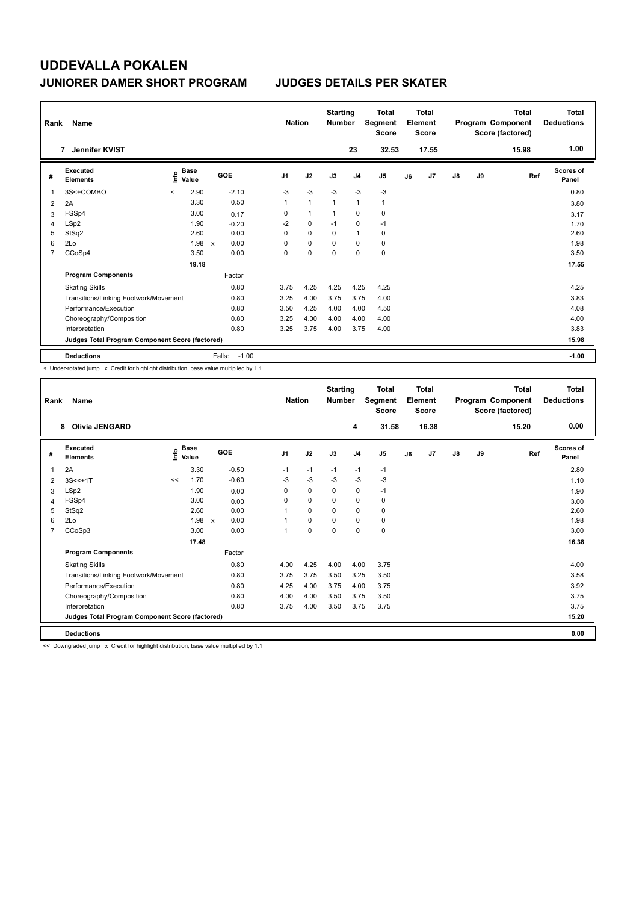| Rank | Name                                            |         |                      |                           |         | <b>Nation</b>  |                | <b>Starting</b><br><b>Number</b> |                | <b>Total</b><br>Segment<br><b>Score</b> |    | Total<br>Element<br><b>Score</b> |               |    | Total<br>Program Component<br>Score (factored) | <b>Total</b><br><b>Deductions</b> |
|------|-------------------------------------------------|---------|----------------------|---------------------------|---------|----------------|----------------|----------------------------------|----------------|-----------------------------------------|----|----------------------------------|---------------|----|------------------------------------------------|-----------------------------------|
|      | Jennifer KVIST<br>7                             |         |                      |                           |         |                |                |                                  | 23             | 32.53                                   |    | 17.55                            |               |    | 15.98                                          | 1.00                              |
| #    | Executed<br><b>Elements</b>                     | ۴۵      | <b>Base</b><br>Value | GOE                       |         | J <sub>1</sub> | J2             | J3                               | J <sub>4</sub> | J5                                      | J6 | J7                               | $\mathsf{J}8$ | J9 | Ref                                            | <b>Scores of</b><br>Panel         |
| 1    | 3S<+COMBO                                       | $\prec$ | 2.90                 |                           | $-2.10$ | $-3$           | $-3$           | $-3$                             | $-3$           | $-3$                                    |    |                                  |               |    |                                                | 0.80                              |
| 2    | 2A                                              |         | 3.30                 |                           | 0.50    | 1              | $\overline{1}$ | $\mathbf{1}$                     | $\mathbf{1}$   | $\mathbf{1}$                            |    |                                  |               |    |                                                | 3.80                              |
| 3    | FSSp4                                           |         | 3.00                 |                           | 0.17    | 0              | $\mathbf{1}$   | $\mathbf{1}$                     | $\mathbf 0$    | 0                                       |    |                                  |               |    |                                                | 3.17                              |
| 4    | LSp2                                            |         | 1.90                 |                           | $-0.20$ | $-2$           | $\mathbf 0$    | $-1$                             | $\mathbf 0$    | $-1$                                    |    |                                  |               |    |                                                | 1.70                              |
| 5    | StSq2                                           |         | 2.60                 |                           | 0.00    | 0              | 0              | 0                                | $\mathbf{1}$   | 0                                       |    |                                  |               |    |                                                | 2.60                              |
| 6    | 2Lo                                             |         | 1.98                 | $\boldsymbol{\mathsf{x}}$ | 0.00    | 0              | 0              | $\Omega$                         | 0              | 0                                       |    |                                  |               |    |                                                | 1.98                              |
| 7    | CCoSp4                                          |         | 3.50                 |                           | 0.00    | 0              | $\mathbf 0$    | $\Omega$                         | $\Omega$       | $\mathbf 0$                             |    |                                  |               |    |                                                | 3.50                              |
|      |                                                 |         | 19.18                |                           |         |                |                |                                  |                |                                         |    |                                  |               |    |                                                | 17.55                             |
|      | <b>Program Components</b>                       |         |                      |                           | Factor  |                |                |                                  |                |                                         |    |                                  |               |    |                                                |                                   |
|      | <b>Skating Skills</b>                           |         |                      |                           | 0.80    | 3.75           | 4.25           | 4.25                             | 4.25           | 4.25                                    |    |                                  |               |    |                                                | 4.25                              |
|      | Transitions/Linking Footwork/Movement           |         |                      |                           | 0.80    | 3.25           | 4.00           | 3.75                             | 3.75           | 4.00                                    |    |                                  |               |    |                                                | 3.83                              |
|      | Performance/Execution                           |         |                      |                           | 0.80    | 3.50           | 4.25           | 4.00                             | 4.00           | 4.50                                    |    |                                  |               |    |                                                | 4.08                              |
|      | Choreography/Composition                        |         |                      |                           | 0.80    | 3.25           | 4.00           | 4.00                             | 4.00           | 4.00                                    |    |                                  |               |    |                                                | 4.00                              |
|      | Interpretation                                  |         |                      |                           | 0.80    | 3.25           | 3.75           | 4.00                             | 3.75           | 4.00                                    |    |                                  |               |    |                                                | 3.83                              |
|      | Judges Total Program Component Score (factored) |         |                      |                           |         |                |                |                                  |                |                                         |    |                                  |               |    |                                                | 15.98                             |
|      | <b>Deductions</b>                               |         |                      | Falls:                    | $-1.00$ |                |                |                                  |                |                                         |    |                                  |               |    |                                                | $-1.00$                           |

< Under-rotated jump x Credit for highlight distribution, base value multiplied by 1.1

| Rank           | Name                                            |    |                                             |         |                | <b>Nation</b> | <b>Starting</b><br><b>Number</b> |                | Total<br>Segment<br><b>Score</b> |    | Total<br>Element<br><b>Score</b> |    |    | <b>Total</b><br>Program Component<br>Score (factored) | Total<br><b>Deductions</b> |
|----------------|-------------------------------------------------|----|---------------------------------------------|---------|----------------|---------------|----------------------------------|----------------|----------------------------------|----|----------------------------------|----|----|-------------------------------------------------------|----------------------------|
|                | <b>Olivia JENGARD</b><br>8                      |    |                                             |         |                |               |                                  | 4              | 31.58                            |    | 16.38                            |    |    | 15.20                                                 | 0.00                       |
| #              | Executed<br><b>Elements</b>                     |    | <b>Base</b><br>e <sup>Base</sup><br>⊆ Value | GOE     | J <sub>1</sub> | J2            | J3                               | J <sub>4</sub> | J <sub>5</sub>                   | J6 | J7                               | J8 | J9 | Ref                                                   | <b>Scores of</b><br>Panel  |
| 1              | 2A                                              |    | 3.30                                        | $-0.50$ | $-1$           | $-1$          | $-1$                             | $-1$           | $-1$                             |    |                                  |    |    |                                                       | 2.80                       |
| 2              | $3S < +1T$                                      | << | 1.70                                        | $-0.60$ | $-3$           | $-3$          | $-3$                             | $-3$           | $-3$                             |    |                                  |    |    |                                                       | 1.10                       |
| 3              | LSp2                                            |    | 1.90                                        | 0.00    | 0              | 0             | $\mathbf 0$                      | 0              | $-1$                             |    |                                  |    |    |                                                       | 1.90                       |
| 4              | FSSp4                                           |    | 3.00                                        | 0.00    | $\Omega$       | 0             | $\Omega$                         | 0              | 0                                |    |                                  |    |    |                                                       | 3.00                       |
| 5              | StSq2                                           |    | 2.60                                        | 0.00    |                | $\Omega$      | $\Omega$                         | $\Omega$       | 0                                |    |                                  |    |    |                                                       | 2.60                       |
| 6              | 2Lo                                             |    | $1.98 \times$                               | 0.00    |                | $\Omega$      | $\Omega$                         | $\mathbf 0$    | 0                                |    |                                  |    |    |                                                       | 1.98                       |
| $\overline{7}$ | CCoSp3                                          |    | 3.00                                        | 0.00    | 1              | 0             | $\Omega$                         | 0              | 0                                |    |                                  |    |    |                                                       | 3.00                       |
|                |                                                 |    | 17.48                                       |         |                |               |                                  |                |                                  |    |                                  |    |    |                                                       | 16.38                      |
|                | <b>Program Components</b>                       |    |                                             | Factor  |                |               |                                  |                |                                  |    |                                  |    |    |                                                       |                            |
|                | <b>Skating Skills</b>                           |    |                                             | 0.80    | 4.00           | 4.25          | 4.00                             | 4.00           | 3.75                             |    |                                  |    |    |                                                       | 4.00                       |
|                | Transitions/Linking Footwork/Movement           |    |                                             | 0.80    | 3.75           | 3.75          | 3.50                             | 3.25           | 3.50                             |    |                                  |    |    |                                                       | 3.58                       |
|                | Performance/Execution                           |    |                                             | 0.80    | 4.25           | 4.00          | 3.75                             | 4.00           | 3.75                             |    |                                  |    |    |                                                       | 3.92                       |
|                | Choreography/Composition                        |    |                                             | 0.80    | 4.00           | 4.00          | 3.50                             | 3.75           | 3.50                             |    |                                  |    |    |                                                       | 3.75                       |
|                | Interpretation                                  |    |                                             | 0.80    | 3.75           | 4.00          | 3.50                             | 3.75           | 3.75                             |    |                                  |    |    |                                                       | 3.75                       |
|                | Judges Total Program Component Score (factored) |    |                                             |         |                |               |                                  |                |                                  |    |                                  |    |    |                                                       | 15.20                      |
|                | <b>Deductions</b>                               |    |                                             |         |                |               |                                  |                |                                  |    |                                  |    |    |                                                       | 0.00                       |

<< Downgraded jump x Credit for highlight distribution, base value multiplied by 1.1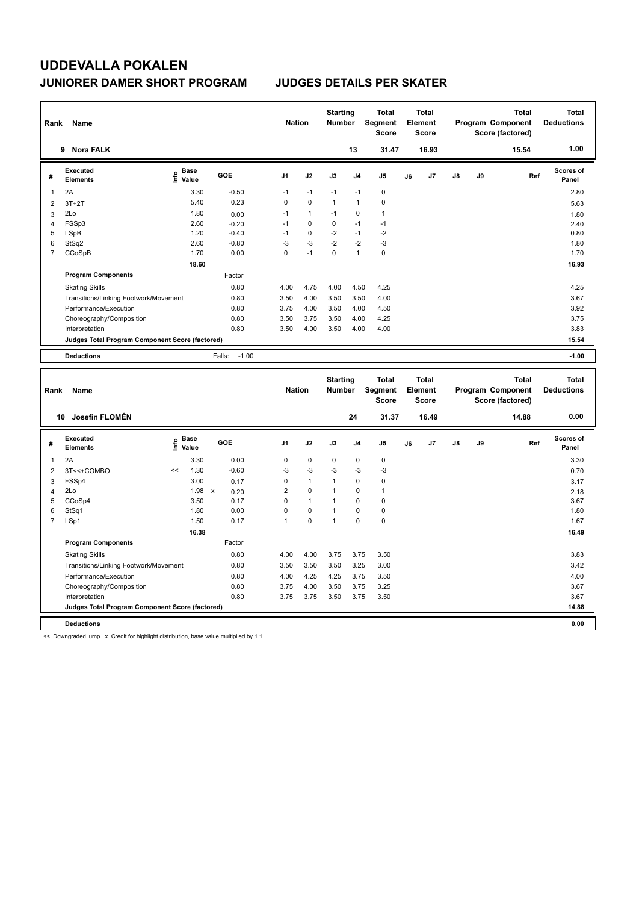| Rank           | Name                                            |                                  |                   | <b>Nation</b>  |              | <b>Starting</b><br><b>Number</b> |                | <b>Total</b><br>Segment<br><b>Score</b> |    | <b>Total</b><br>Element<br><b>Score</b> |               |    | <b>Total</b><br><b>Program Component</b><br>Score (factored) | <b>Total</b><br><b>Deductions</b> |
|----------------|-------------------------------------------------|----------------------------------|-------------------|----------------|--------------|----------------------------------|----------------|-----------------------------------------|----|-----------------------------------------|---------------|----|--------------------------------------------------------------|-----------------------------------|
|                | <b>Nora FALK</b><br>9                           |                                  |                   |                |              |                                  | 13             | 31.47                                   |    | 16.93                                   |               |    | 15.54                                                        | 1.00                              |
| #              | Executed<br><b>Elements</b>                     | <b>Base</b><br>e Base<br>⊆ Value | GOE               | J <sub>1</sub> | J2           | J3                               | J <sub>4</sub> | J <sub>5</sub>                          | J6 | J7                                      | J8            | J9 | Ref                                                          | Scores of<br>Panel                |
| -1             | 2A                                              | 3.30                             | $-0.50$           | $-1$           | $-1$         | $-1$                             | $-1$           | $\mathbf 0$                             |    |                                         |               |    |                                                              | 2.80                              |
| $\overline{2}$ | $3T+2T$                                         | 5.40                             | 0.23              | 0              | 0            | $\mathbf{1}$                     | $\mathbf{1}$   | $\mathbf 0$                             |    |                                         |               |    |                                                              | 5.63                              |
| 3              | 2Lo                                             | 1.80                             | 0.00              | $-1$           | $\mathbf{1}$ | $-1$                             | $\mathbf 0$    | $\mathbf{1}$                            |    |                                         |               |    |                                                              | 1.80                              |
| $\overline{4}$ | FSSp3                                           | 2.60                             | $-0.20$           | $-1$           | 0            | $\mathbf 0$                      | $-1$           | $-1$                                    |    |                                         |               |    |                                                              | 2.40                              |
| 5              | LSpB                                            | 1.20                             | $-0.40$           | $-1$           | 0            | $-2$                             | $-1$           | $-2$                                    |    |                                         |               |    |                                                              | 0.80                              |
| 6              | StSq2                                           | 2.60                             | $-0.80$           | $-3$           | $-3$         | $-2$                             | $-2$           | $-3$                                    |    |                                         |               |    |                                                              | 1.80                              |
| $\overline{7}$ | CCoSpB                                          | 1.70                             | 0.00              | $\Omega$       | $-1$         | $\mathbf 0$                      | 1              | $\mathbf 0$                             |    |                                         |               |    |                                                              | 1.70                              |
|                |                                                 | 18.60                            |                   |                |              |                                  |                |                                         |    |                                         |               |    |                                                              | 16.93                             |
|                | <b>Program Components</b>                       |                                  | Factor            |                |              |                                  |                |                                         |    |                                         |               |    |                                                              |                                   |
|                | <b>Skating Skills</b>                           |                                  | 0.80              | 4.00           | 4.75         | 4.00                             | 4.50           | 4.25                                    |    |                                         |               |    |                                                              | 4.25                              |
|                | Transitions/Linking Footwork/Movement           |                                  | 0.80              | 3.50           | 4.00         | 3.50                             | 3.50           | 4.00                                    |    |                                         |               |    |                                                              | 3.67                              |
|                | Performance/Execution                           |                                  | 0.80              | 3.75           | 4.00         | 3.50                             | 4.00           | 4.50                                    |    |                                         |               |    |                                                              | 3.92                              |
|                | Choreography/Composition                        |                                  | 0.80              | 3.50           | 3.75         | 3.50                             | 4.00           | 4.25                                    |    |                                         |               |    |                                                              | 3.75                              |
|                | Interpretation                                  |                                  | 0.80              | 3.50           | 4.00         | 3.50                             | 4.00           | 4.00                                    |    |                                         |               |    |                                                              | 3.83                              |
|                | Judges Total Program Component Score (factored) |                                  |                   |                |              |                                  |                |                                         |    |                                         |               |    |                                                              | 15.54                             |
|                | <b>Deductions</b>                               |                                  | $-1.00$<br>Falls: |                |              |                                  |                |                                         |    |                                         |               |    |                                                              | $-1.00$                           |
| Rank           | Name                                            |                                  |                   | <b>Nation</b>  |              | <b>Starting</b><br><b>Number</b> |                | <b>Total</b><br>Segment<br><b>Score</b> |    | <b>Total</b><br>Element<br><b>Score</b> |               |    | <b>Total</b><br>Program Component<br>Score (factored)        | <b>Total</b><br><b>Deductions</b> |
|                | Josefin FLOMÉN<br>10                            |                                  |                   |                |              |                                  | 24             | 31.37                                   |    | 16.49                                   |               |    | 14.88                                                        | 0.00                              |
| #              | <b>Executed</b><br><b>Elements</b>              | $\sum_{i=1}^{n}$ Value           | GOE               | J <sub>1</sub> | J2           | J3                               | J <sub>4</sub> | J <sub>5</sub>                          | J6 | J7                                      | $\mathsf{J}8$ | J9 | Ref                                                          | <b>Scores of</b><br>Panel         |

ستان کا بیست کا بیست کا بیست کا بیست کا بیست کا بیست کا بیست کا بیست کردی ہو ہے کہ ایک بیست کردی ہو ہے کہ ایک ب<br>2A 3.30 0.00 0 0 0 0 0 0 3.30 3.30

Skating Skills 4.00 4.00 3.75 3.75 3.50 0.80 3.83

Transitions/Linking Footwork/Movement 0.80 3.50 3.50 3.50 3.25 3.00 3.42 Performance/Execution 0.80 4.00 4.25 4.25 3.75 3.50 4.00 Choreography/Composition 0.80 3.75 4.00 3.50 3.75 3.25 3.67  $3.75$   $3.75$   $3.50$   $3.75$ 

**Judges Total Program Component Score (factored) 14.88**

 **16.38 16.49**

 3T<<+COMBO << 1.30 -0.60 -3 -3 -3 -3 -3 0.70 FSSp4 3.00 0.17 0 1 1 0 0 3.17 2Lo 1.98 x 0.20 2 0 1 0 1 2.18 CCoSp4 3.50 0.17 0 1 1 0 0 3.67 StSq1 1.80 0.00 0 0 1 0 0 1.80 LSp1 1.50 0.17 1 0 1 0 0 1.67

| Jeductions | 0.00 |
|------------|------|

**Program Components** 

<< Downgraded jump x Credit for highlight distribution, base value multiplied by 1.1

1 3.30 0.00 0 0 0 0 0

Factor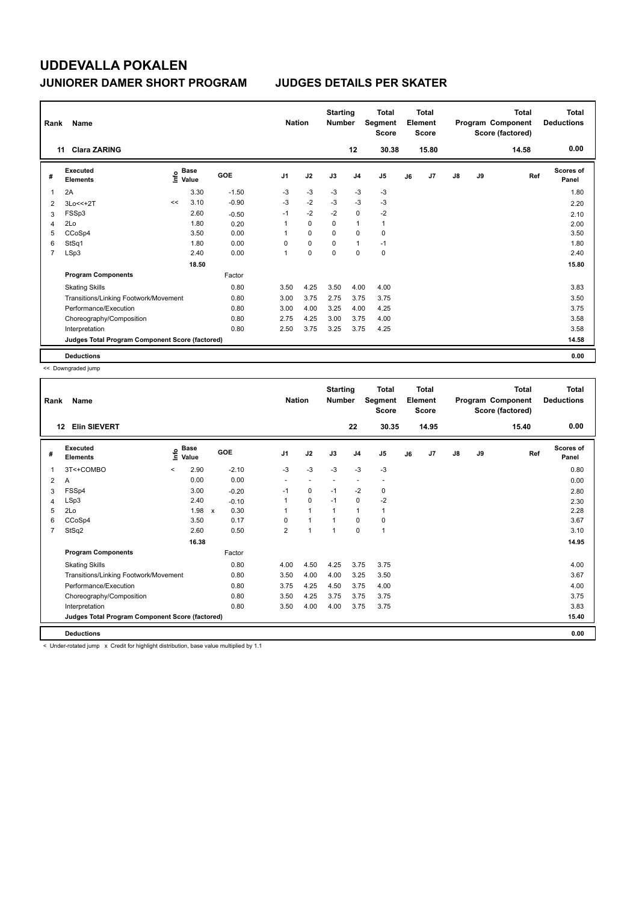| Rank           | Name                                            |    |                             |         | <b>Nation</b>  |             | <b>Starting</b><br><b>Number</b> |                | <b>Total</b><br>Segment<br><b>Score</b> |    | <b>Total</b><br>Element<br><b>Score</b> |               |    | <b>Total</b><br>Program Component<br>Score (factored) | Total<br><b>Deductions</b> |
|----------------|-------------------------------------------------|----|-----------------------------|---------|----------------|-------------|----------------------------------|----------------|-----------------------------------------|----|-----------------------------------------|---------------|----|-------------------------------------------------------|----------------------------|
|                | <b>Clara ZARING</b><br>11                       |    |                             |         |                |             |                                  | 12             | 30.38                                   |    | 15.80                                   |               |    | 14.58                                                 | 0.00                       |
| #              | Executed<br><b>Elements</b>                     |    | Base<br>$\frac{6}{5}$ Value | GOE     | J <sub>1</sub> | J2          | J3                               | J <sub>4</sub> | J <sub>5</sub>                          | J6 | J7                                      | $\mathsf{J}8$ | J9 | Ref                                                   | <b>Scores of</b><br>Panel  |
| 1              | 2A                                              |    | 3.30                        | $-1.50$ | -3             | $-3$        | -3                               | -3             | $-3$                                    |    |                                         |               |    |                                                       | 1.80                       |
| 2              | 3Lo<<+2T                                        | << | 3.10                        | $-0.90$ | $-3$           | $-2$        | $-3$                             | $-3$           | $-3$                                    |    |                                         |               |    |                                                       | 2.20                       |
| 3              | FSSp3                                           |    | 2.60                        | $-0.50$ | $-1$           | $-2$        | $-2$                             | $\mathbf 0$    | $-2$                                    |    |                                         |               |    |                                                       | 2.10                       |
| 4              | 2Lo                                             |    | 1.80                        | 0.20    |                | $\mathbf 0$ | 0                                | $\mathbf{1}$   | $\mathbf{1}$                            |    |                                         |               |    |                                                       | 2.00                       |
| 5              | CCoSp4                                          |    | 3.50                        | 0.00    |                | $\mathbf 0$ | $\Omega$                         | 0              | 0                                       |    |                                         |               |    |                                                       | 3.50                       |
| 6              | StSq1                                           |    | 1.80                        | 0.00    | 0              | $\mathbf 0$ | 0                                | $\mathbf{1}$   | $-1$                                    |    |                                         |               |    |                                                       | 1.80                       |
| $\overline{7}$ | LSp3                                            |    | 2.40                        | 0.00    | $\mathbf{1}$   | $\mathbf 0$ | $\mathbf 0$                      | $\mathbf 0$    | $\mathbf 0$                             |    |                                         |               |    |                                                       | 2.40                       |
|                |                                                 |    | 18.50                       |         |                |             |                                  |                |                                         |    |                                         |               |    |                                                       | 15.80                      |
|                | <b>Program Components</b>                       |    |                             | Factor  |                |             |                                  |                |                                         |    |                                         |               |    |                                                       |                            |
|                | <b>Skating Skills</b>                           |    |                             | 0.80    | 3.50           | 4.25        | 3.50                             | 4.00           | 4.00                                    |    |                                         |               |    |                                                       | 3.83                       |
|                | Transitions/Linking Footwork/Movement           |    |                             | 0.80    | 3.00           | 3.75        | 2.75                             | 3.75           | 3.75                                    |    |                                         |               |    |                                                       | 3.50                       |
|                | Performance/Execution                           |    |                             | 0.80    | 3.00           | 4.00        | 3.25                             | 4.00           | 4.25                                    |    |                                         |               |    |                                                       | 3.75                       |
|                | Choreography/Composition                        |    |                             | 0.80    | 2.75           | 4.25        | 3.00                             | 3.75           | 4.00                                    |    |                                         |               |    |                                                       | 3.58                       |
|                | Interpretation                                  |    |                             | 0.80    | 2.50           | 3.75        | 3.25                             | 3.75           | 4.25                                    |    |                                         |               |    |                                                       | 3.58                       |
|                | Judges Total Program Component Score (factored) |    |                             |         |                |             |                                  |                |                                         |    |                                         |               |    |                                                       | 14.58                      |
|                | <b>Deductions</b>                               |    |                             |         |                |             |                                  |                |                                         |    |                                         |               |    |                                                       | 0.00                       |

<< Downgraded jump

 $\mathsf{l}$ 

| Rank           | Name                                            |             |                      |         |                | <b>Nation</b> | <b>Starting</b><br><b>Number</b> |                | <b>Total</b><br>Segment<br><b>Score</b> |    | Total<br>Element<br><b>Score</b> |               |    | Total<br>Program Component<br>Score (factored) | <b>Total</b><br><b>Deductions</b> |
|----------------|-------------------------------------------------|-------------|----------------------|---------|----------------|---------------|----------------------------------|----------------|-----------------------------------------|----|----------------------------------|---------------|----|------------------------------------------------|-----------------------------------|
|                | <b>Elin SIEVERT</b><br>12                       |             |                      |         |                |               |                                  | 22             | 30.35                                   |    | 14.95                            |               |    | 15.40                                          | 0.00                              |
| #              | Executed<br><b>Elements</b>                     | <u>lnfo</u> | <b>Base</b><br>Value | GOE     | J <sub>1</sub> | J2            | J3                               | J <sub>4</sub> | J <sub>5</sub>                          | J6 | J <sub>7</sub>                   | $\mathsf{J}8$ | J9 | Ref                                            | Scores of<br>Panel                |
| 1              | 3T<+COMBO                                       | $\prec$     | 2.90                 | $-2.10$ | $-3$           | $-3$          | $-3$                             | $-3$           | $-3$                                    |    |                                  |               |    |                                                | 0.80                              |
| 2              | A                                               |             | 0.00                 | 0.00    |                |               |                                  | $\sim$         | $\overline{\phantom{a}}$                |    |                                  |               |    |                                                | 0.00                              |
| 3              | FSSp4                                           |             | 3.00                 | $-0.20$ | $-1$           | 0             | $-1$                             | $-2$           | 0                                       |    |                                  |               |    |                                                | 2.80                              |
| 4              | LSp3                                            |             | 2.40                 | $-0.10$ |                | 0             | $-1$                             | $\mathbf 0$    | $-2$                                    |    |                                  |               |    |                                                | 2.30                              |
| 5              | 2Lo                                             |             | 1.98 x               | 0.30    |                | $\mathbf{1}$  | 1                                | 1              | 1                                       |    |                                  |               |    |                                                | 2.28                              |
| 6              | CCoSp4                                          |             | 3.50                 | 0.17    | 0              | $\mathbf{1}$  | 1                                | $\Omega$       | 0                                       |    |                                  |               |    |                                                | 3.67                              |
| $\overline{7}$ | StSq2                                           |             | 2.60                 | 0.50    | $\overline{2}$ | 1             | 1                                | 0              | 1                                       |    |                                  |               |    |                                                | 3.10                              |
|                |                                                 |             | 16.38                |         |                |               |                                  |                |                                         |    |                                  |               |    |                                                | 14.95                             |
|                | <b>Program Components</b>                       |             |                      | Factor  |                |               |                                  |                |                                         |    |                                  |               |    |                                                |                                   |
|                | <b>Skating Skills</b>                           |             |                      | 0.80    | 4.00           | 4.50          | 4.25                             | 3.75           | 3.75                                    |    |                                  |               |    |                                                | 4.00                              |
|                | Transitions/Linking Footwork/Movement           |             |                      | 0.80    | 3.50           | 4.00          | 4.00                             | 3.25           | 3.50                                    |    |                                  |               |    |                                                | 3.67                              |
|                | Performance/Execution                           |             |                      | 0.80    | 3.75           | 4.25          | 4.50                             | 3.75           | 4.00                                    |    |                                  |               |    |                                                | 4.00                              |
|                | Choreography/Composition                        |             |                      | 0.80    | 3.50           | 4.25          | 3.75                             | 3.75           | 3.75                                    |    |                                  |               |    |                                                | 3.75                              |
|                | Interpretation                                  |             |                      | 0.80    | 3.50           | 4.00          | 4.00                             | 3.75           | 3.75                                    |    |                                  |               |    |                                                | 3.83                              |
|                | Judges Total Program Component Score (factored) |             |                      |         |                |               |                                  |                |                                         |    |                                  |               |    |                                                | 15.40                             |
|                | <b>Deductions</b>                               |             |                      |         |                |               |                                  |                |                                         |    |                                  |               |    |                                                | 0.00                              |

< Under-rotated jump x Credit for highlight distribution, base value multiplied by 1.1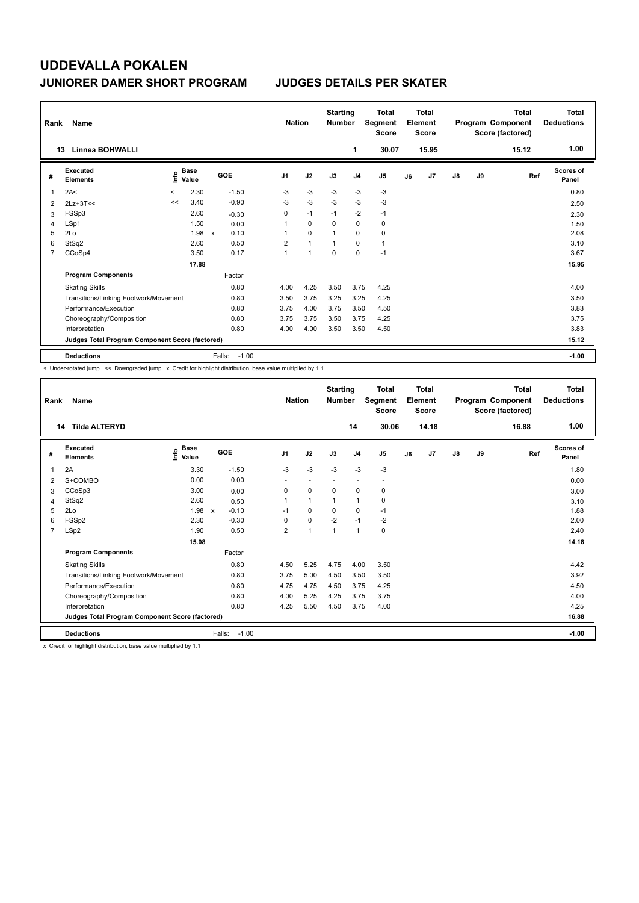| Rank | Name                                            |       |                      |              |         | <b>Nation</b>  |                | <b>Starting</b><br><b>Number</b> |                | <b>Total</b><br>Segment<br><b>Score</b> |    | <b>Total</b><br>Element<br><b>Score</b> |               |    | Total<br>Program Component<br>Score (factored) | Total<br><b>Deductions</b> |
|------|-------------------------------------------------|-------|----------------------|--------------|---------|----------------|----------------|----------------------------------|----------------|-----------------------------------------|----|-----------------------------------------|---------------|----|------------------------------------------------|----------------------------|
|      | <b>Linnea BOHWALLI</b><br>13                    |       |                      |              |         |                |                |                                  | 1              | 30.07                                   |    | 15.95                                   |               |    | 15.12                                          | 1.00                       |
| #    | Executed<br><b>Elements</b>                     | ١nf٥  | <b>Base</b><br>Value | <b>GOE</b>   |         | J <sub>1</sub> | J2             | J3                               | J <sub>4</sub> | J <sub>5</sub>                          | J6 | J7                                      | $\mathsf{J}8$ | J9 | Ref                                            | Scores of<br>Panel         |
| 1    | 2A<                                             | $\,<$ | 2.30                 |              | $-1.50$ | $-3$           | $-3$           | $-3$                             | -3             | $-3$                                    |    |                                         |               |    |                                                | 0.80                       |
| 2    | $2Lz+3T<<$                                      | <<    | 3.40                 |              | $-0.90$ | $-3$           | $-3$           | $-3$                             | $-3$           | $-3$                                    |    |                                         |               |    |                                                | 2.50                       |
| 3    | FSSp3                                           |       | 2.60                 |              | $-0.30$ | 0              | $-1$           | $-1$                             | $-2$           | $-1$                                    |    |                                         |               |    |                                                | 2.30                       |
| 4    | LSp1                                            |       | 1.50                 |              | 0.00    | 1              | 0              | 0                                | $\mathbf 0$    | 0                                       |    |                                         |               |    |                                                | 1.50                       |
| 5    | 2Lo                                             |       | 1.98                 | $\mathsf{x}$ | 0.10    | 1              | $\mathbf 0$    |                                  | $\mathbf 0$    | $\mathbf 0$                             |    |                                         |               |    |                                                | 2.08                       |
| 6    | StSq2                                           |       | 2.60                 |              | 0.50    | $\overline{2}$ | $\mathbf{1}$   | 1                                | $\mathbf 0$    | $\mathbf{1}$                            |    |                                         |               |    |                                                | 3.10                       |
| 7    | CCoSp4                                          |       | 3.50                 |              | 0.17    | $\mathbf{1}$   | $\overline{1}$ | 0                                | $\mathbf 0$    | $-1$                                    |    |                                         |               |    |                                                | 3.67                       |
|      |                                                 |       | 17.88                |              |         |                |                |                                  |                |                                         |    |                                         |               |    |                                                | 15.95                      |
|      | <b>Program Components</b>                       |       |                      |              | Factor  |                |                |                                  |                |                                         |    |                                         |               |    |                                                |                            |
|      | <b>Skating Skills</b>                           |       |                      |              | 0.80    | 4.00           | 4.25           | 3.50                             | 3.75           | 4.25                                    |    |                                         |               |    |                                                | 4.00                       |
|      | Transitions/Linking Footwork/Movement           |       |                      |              | 0.80    | 3.50           | 3.75           | 3.25                             | 3.25           | 4.25                                    |    |                                         |               |    |                                                | 3.50                       |
|      | Performance/Execution                           |       |                      |              | 0.80    | 3.75           | 4.00           | 3.75                             | 3.50           | 4.50                                    |    |                                         |               |    |                                                | 3.83                       |
|      | Choreography/Composition                        |       |                      |              | 0.80    | 3.75           | 3.75           | 3.50                             | 3.75           | 4.25                                    |    |                                         |               |    |                                                | 3.75                       |
|      | Interpretation                                  |       |                      |              | 0.80    | 4.00           | 4.00           | 3.50                             | 3.50           | 4.50                                    |    |                                         |               |    |                                                | 3.83                       |
|      | Judges Total Program Component Score (factored) |       |                      |              |         |                |                |                                  |                |                                         |    |                                         |               |    |                                                | 15.12                      |
|      | <b>Deductions</b>                               |       |                      | Falls:       | $-1.00$ |                |                |                                  |                |                                         |    |                                         |               |    |                                                | $-1.00$                    |

< Under-rotated jump << Downgraded jump x Credit for highlight distribution, base value multiplied by 1.1

| Rank           | Name                                            |                   |                         | <b>Nation</b>            |                          | <b>Starting</b><br><b>Number</b> |                          | Total<br>Segment<br><b>Score</b> |    | <b>Total</b><br>Element<br><b>Score</b> |               |    | <b>Total</b><br>Program Component<br>Score (factored) | <b>Total</b><br><b>Deductions</b> |
|----------------|-------------------------------------------------|-------------------|-------------------------|--------------------------|--------------------------|----------------------------------|--------------------------|----------------------------------|----|-----------------------------------------|---------------|----|-------------------------------------------------------|-----------------------------------|
|                | <b>Tilda ALTERYD</b><br>14                      |                   |                         |                          |                          |                                  | 14                       | 30.06                            |    | 14.18                                   |               |    | 16.88                                                 | 1.00                              |
| #              | Executed<br><b>Elements</b>                     | e Base<br>E Value | GOE                     | J <sub>1</sub>           | J2                       | J3                               | J <sub>4</sub>           | J5                               | J6 | J <sub>7</sub>                          | $\mathsf{J}8$ | J9 | Ref                                                   | <b>Scores of</b><br>Panel         |
| 1              | 2A                                              | 3.30              | $-1.50$                 | $-3$                     | $-3$                     | $-3$                             | $-3$                     | $-3$                             |    |                                         |               |    |                                                       | 1.80                              |
| 2              | S+COMBO                                         | 0.00              | 0.00                    | $\overline{\phantom{a}}$ | $\overline{\phantom{a}}$ |                                  | $\overline{\phantom{a}}$ |                                  |    |                                         |               |    |                                                       | 0.00                              |
| 3              | CCoSp3                                          | 3.00              | 0.00                    | 0                        | $\mathbf 0$              | $\Omega$                         | 0                        | 0                                |    |                                         |               |    |                                                       | 3.00                              |
| 4              | StSq2                                           | 2.60              | 0.50                    |                          | $\mathbf{1}$             | 1                                | 1                        | 0                                |    |                                         |               |    |                                                       | 3.10                              |
| 5              | 2Lo                                             | 1.98              | $-0.10$<br>$\mathsf{x}$ | $-1$                     | 0                        | $\Omega$                         | 0                        | $-1$                             |    |                                         |               |    |                                                       | 1.88                              |
| 6              | FSSp2                                           | 2.30              | $-0.30$                 | 0                        | $\mathbf 0$              | $-2$                             | $-1$                     | $-2$                             |    |                                         |               |    |                                                       | 2.00                              |
| $\overline{7}$ | LSp2                                            | 1.90              | 0.50                    | $\overline{2}$           | $\mathbf{1}$             | 1                                | $\mathbf{1}$             | 0                                |    |                                         |               |    |                                                       | 2.40                              |
|                |                                                 | 15.08             |                         |                          |                          |                                  |                          |                                  |    |                                         |               |    |                                                       | 14.18                             |
|                | <b>Program Components</b>                       |                   | Factor                  |                          |                          |                                  |                          |                                  |    |                                         |               |    |                                                       |                                   |
|                | <b>Skating Skills</b>                           |                   | 0.80                    | 4.50                     | 5.25                     | 4.75                             | 4.00                     | 3.50                             |    |                                         |               |    |                                                       | 4.42                              |
|                | Transitions/Linking Footwork/Movement           |                   | 0.80                    | 3.75                     | 5.00                     | 4.50                             | 3.50                     | 3.50                             |    |                                         |               |    |                                                       | 3.92                              |
|                | Performance/Execution                           |                   | 0.80                    | 4.75                     | 4.75                     | 4.50                             | 3.75                     | 4.25                             |    |                                         |               |    |                                                       | 4.50                              |
|                | Choreography/Composition                        |                   | 0.80                    | 4.00                     | 5.25                     | 4.25                             | 3.75                     | 3.75                             |    |                                         |               |    |                                                       | 4.00                              |
|                | Interpretation                                  |                   | 0.80                    | 4.25                     | 5.50                     | 4.50                             | 3.75                     | 4.00                             |    |                                         |               |    |                                                       | 4.25                              |
|                | Judges Total Program Component Score (factored) |                   |                         |                          |                          |                                  |                          |                                  |    |                                         |               |    |                                                       | 16.88                             |
|                | <b>Deductions</b>                               |                   | Falls:<br>$-1.00$       |                          |                          |                                  |                          |                                  |    |                                         |               |    |                                                       | $-1.00$                           |

x Credit for highlight distribution, base value multiplied by 1.1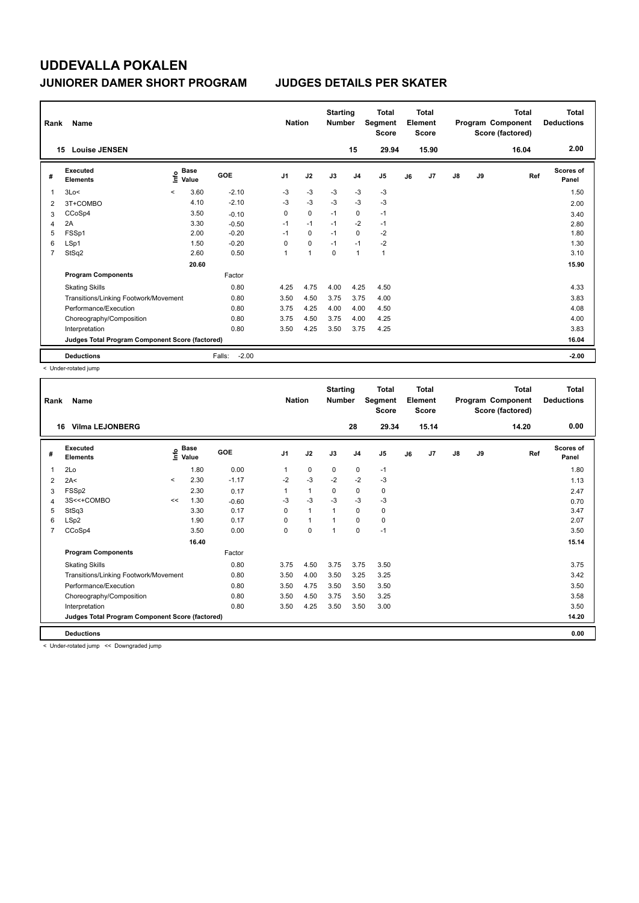| Rank           | <b>Name</b><br><b>Louise JENSEN</b>             |         |                      |                   | <b>Nation</b>  |                | <b>Starting</b><br><b>Number</b> |                | <b>Total</b><br>Segment<br><b>Score</b> |    | <b>Total</b><br>Element<br><b>Score</b> |               |    | Total<br>Program Component<br>Score (factored) | Total<br><b>Deductions</b><br>2.00 |
|----------------|-------------------------------------------------|---------|----------------------|-------------------|----------------|----------------|----------------------------------|----------------|-----------------------------------------|----|-----------------------------------------|---------------|----|------------------------------------------------|------------------------------------|
|                | 15                                              |         |                      |                   |                |                |                                  | 15             | 29.94                                   |    | 15.90                                   |               |    | 16.04                                          |                                    |
| #              | Executed<br><b>Elements</b>                     | ١nfo    | <b>Base</b><br>Value | <b>GOE</b>        | J <sub>1</sub> | J2             | J3                               | J <sub>4</sub> | J <sub>5</sub>                          | J6 | J7                                      | $\mathsf{J}8$ | J9 | Ref                                            | <b>Scores of</b><br>Panel          |
| $\mathbf 1$    | 3Lo<                                            | $\prec$ | 3.60                 | $-2.10$           | $-3$           | $-3$           | $-3$                             | $-3$           | $-3$                                    |    |                                         |               |    |                                                | 1.50                               |
| 2              | 3T+COMBO                                        |         | 4.10                 | $-2.10$           | $-3$           | $-3$           | $-3$                             | $-3$           | $-3$                                    |    |                                         |               |    |                                                | 2.00                               |
| 3              | CCoSp4                                          |         | 3.50                 | $-0.10$           | 0              | $\mathbf 0$    | $-1$                             | $\mathbf 0$    | $-1$                                    |    |                                         |               |    |                                                | 3.40                               |
| $\overline{4}$ | 2A                                              |         | 3.30                 | $-0.50$           | $-1$           | $-1$           | $-1$                             | $-2$           | $-1$                                    |    |                                         |               |    |                                                | 2.80                               |
| 5              | FSSp1                                           |         | 2.00                 | $-0.20$           | $-1$           | $\mathbf 0$    | $-1$                             | $\mathbf 0$    | $-2$                                    |    |                                         |               |    |                                                | 1.80                               |
| 6              | LSp1                                            |         | 1.50                 | $-0.20$           | 0              | $\mathbf 0$    | $-1$                             | $-1$           | $-2$                                    |    |                                         |               |    |                                                | 1.30                               |
| 7              | StSq2                                           |         | 2.60                 | 0.50              | 1              | $\overline{1}$ | 0                                | $\mathbf{1}$   | $\mathbf{1}$                            |    |                                         |               |    |                                                | 3.10                               |
|                |                                                 |         | 20.60                |                   |                |                |                                  |                |                                         |    |                                         |               |    |                                                | 15.90                              |
|                | <b>Program Components</b>                       |         |                      | Factor            |                |                |                                  |                |                                         |    |                                         |               |    |                                                |                                    |
|                | <b>Skating Skills</b>                           |         |                      | 0.80              | 4.25           | 4.75           | 4.00                             | 4.25           | 4.50                                    |    |                                         |               |    |                                                | 4.33                               |
|                | Transitions/Linking Footwork/Movement           |         |                      | 0.80              | 3.50           | 4.50           | 3.75                             | 3.75           | 4.00                                    |    |                                         |               |    |                                                | 3.83                               |
|                | Performance/Execution                           |         |                      | 0.80              | 3.75           | 4.25           | 4.00                             | 4.00           | 4.50                                    |    |                                         |               |    |                                                | 4.08                               |
|                | Choreography/Composition                        |         |                      | 0.80              | 3.75           | 4.50           | 3.75                             | 4.00           | 4.25                                    |    |                                         |               |    |                                                | 4.00                               |
|                | Interpretation                                  |         |                      | 0.80              | 3.50           | 4.25           | 3.50                             | 3.75           | 4.25                                    |    |                                         |               |    |                                                | 3.83                               |
|                | Judges Total Program Component Score (factored) |         |                      |                   |                |                |                                  |                |                                         |    |                                         |               |    |                                                | 16.04                              |
|                | <b>Deductions</b>                               |         |                      | $-2.00$<br>Falls: |                |                |                                  |                |                                         |    |                                         |               |    |                                                | $-2.00$                            |

< Under-rotated jump

| Rank | Name                                            |         |                      |         | <b>Nation</b>  |                | <b>Starting</b><br><b>Number</b> |                | <b>Total</b><br>Segment<br><b>Score</b> |    | Total<br>Element<br><b>Score</b> |               |    | <b>Total</b><br>Program Component<br>Score (factored) | <b>Total</b><br><b>Deductions</b> |
|------|-------------------------------------------------|---------|----------------------|---------|----------------|----------------|----------------------------------|----------------|-----------------------------------------|----|----------------------------------|---------------|----|-------------------------------------------------------|-----------------------------------|
|      | <b>Vilma LEJONBERG</b><br>16.                   |         |                      |         |                |                |                                  | 28             | 29.34                                   |    | 15.14                            |               |    | 14.20                                                 | 0.00                              |
| #    | <b>Executed</b><br><b>Elements</b>              | ١nfo    | <b>Base</b><br>Value | GOE     | J <sub>1</sub> | J2             | J3                               | J <sub>4</sub> | J <sub>5</sub>                          | J6 | J <sub>7</sub>                   | $\mathsf{J}8$ | J9 | Ref                                                   | <b>Scores of</b><br>Panel         |
|      | 2Lo                                             |         | 1.80                 | 0.00    | $\mathbf{1}$   | $\mathbf 0$    | 0                                | 0              | $-1$                                    |    |                                  |               |    |                                                       | 1.80                              |
| 2    | 2A<                                             | $\prec$ | 2.30                 | $-1.17$ | $-2$           | $-3$           | $-2$                             | $-2$           | $-3$                                    |    |                                  |               |    |                                                       | 1.13                              |
| 3    | FSSp2                                           |         | 2.30                 | 0.17    | $\mathbf{1}$   | $\mathbf{1}$   | 0                                | 0              | 0                                       |    |                                  |               |    |                                                       | 2.47                              |
|      | 3S<<+COMBO                                      | <<      | 1.30                 | $-0.60$ | $-3$           | $-3$           | $-3$                             | -3             | -3                                      |    |                                  |               |    |                                                       | 0.70                              |
| 5    | StSq3                                           |         | 3.30                 | 0.17    | 0              | $\overline{1}$ | $\overline{1}$                   | 0              | 0                                       |    |                                  |               |    |                                                       | 3.47                              |
| 6    | LSp2                                            |         | 1.90                 | 0.17    | $\Omega$       | $\overline{1}$ | $\overline{1}$                   | $\Omega$       | $\mathbf 0$                             |    |                                  |               |    |                                                       | 2.07                              |
|      | CCoSp4                                          |         | 3.50                 | 0.00    | 0              | $\pmb{0}$      | $\overline{1}$                   | 0              | $-1$                                    |    |                                  |               |    |                                                       | 3.50                              |
|      |                                                 |         | 16.40                |         |                |                |                                  |                |                                         |    |                                  |               |    |                                                       | 15.14                             |
|      | <b>Program Components</b>                       |         |                      | Factor  |                |                |                                  |                |                                         |    |                                  |               |    |                                                       |                                   |
|      | <b>Skating Skills</b>                           |         |                      | 0.80    | 3.75           | 4.50           | 3.75                             | 3.75           | 3.50                                    |    |                                  |               |    |                                                       | 3.75                              |
|      | Transitions/Linking Footwork/Movement           |         |                      | 0.80    | 3.50           | 4.00           | 3.50                             | 3.25           | 3.25                                    |    |                                  |               |    |                                                       | 3.42                              |
|      | Performance/Execution                           |         |                      | 0.80    | 3.50           | 4.75           | 3.50                             | 3.50           | 3.50                                    |    |                                  |               |    |                                                       | 3.50                              |
|      | Choreography/Composition                        |         |                      | 0.80    | 3.50           | 4.50           | 3.75                             | 3.50           | 3.25                                    |    |                                  |               |    |                                                       | 3.58                              |
|      | Interpretation                                  |         |                      | 0.80    | 3.50           | 4.25           | 3.50                             | 3.50           | 3.00                                    |    |                                  |               |    |                                                       | 3.50                              |
|      | Judges Total Program Component Score (factored) |         |                      |         |                |                |                                  |                |                                         |    |                                  |               |    |                                                       | 14.20                             |
|      | <b>Deductions</b>                               |         |                      |         |                |                |                                  |                |                                         |    |                                  |               |    |                                                       | 0.00                              |

< Under-rotated jump << Downgraded jump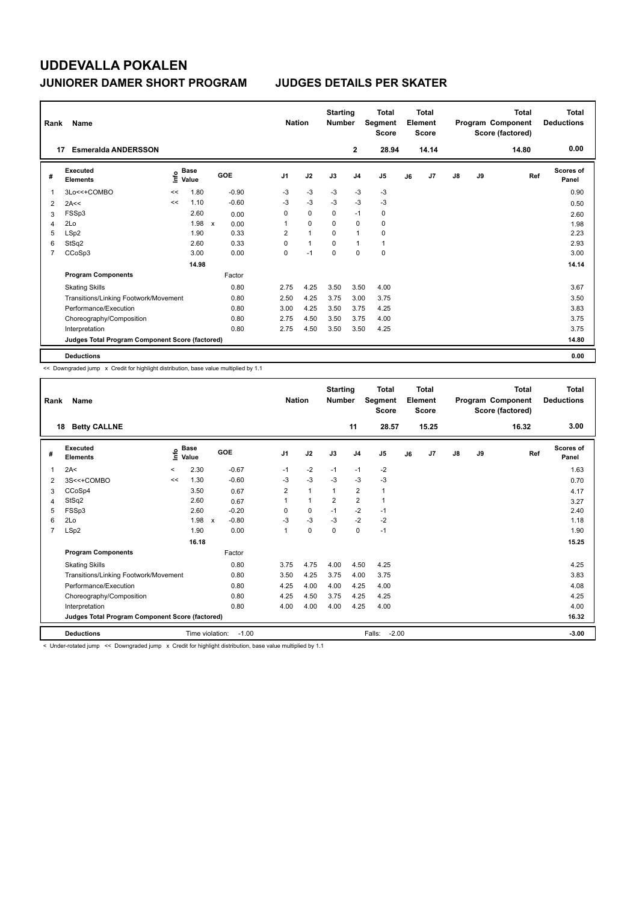| Rank | Name                                            |      |                      |                      | <b>Nation</b>  |                | <b>Starting</b><br><b>Number</b> |                | <b>Total</b><br>Segment<br><b>Score</b> |    | <b>Total</b><br>Element<br><b>Score</b> |               |    | <b>Total</b><br>Program Component<br>Score (factored) | <b>Total</b><br><b>Deductions</b> |
|------|-------------------------------------------------|------|----------------------|----------------------|----------------|----------------|----------------------------------|----------------|-----------------------------------------|----|-----------------------------------------|---------------|----|-------------------------------------------------------|-----------------------------------|
| 17   | <b>Esmeralda ANDERSSON</b>                      |      |                      |                      |                |                |                                  | $\mathbf 2$    | 28.94                                   |    | 14.14                                   |               |    | 14.80                                                 | 0.00                              |
| #    | <b>Executed</b><br><b>Elements</b>              | ١nf٥ | <b>Base</b><br>Value | GOE                  | J <sub>1</sub> | J2             | J3                               | J <sub>4</sub> | J <sub>5</sub>                          | J6 | J <sub>7</sub>                          | $\mathsf{J}8$ | J9 | Ref                                                   | <b>Scores of</b><br>Panel         |
| 1    | 3Lo<<+COMBO                                     | <<   | 1.80                 | $-0.90$              | -3             | $-3$           | $-3$                             | $-3$           | $-3$                                    |    |                                         |               |    |                                                       | 0.90                              |
| 2    | 2A<<                                            | <<   | 1.10                 | $-0.60$              | -3             | $-3$           | $-3$                             | $-3$           | $-3$                                    |    |                                         |               |    |                                                       | 0.50                              |
| 3    | FSSp3                                           |      | 2.60                 | 0.00                 | 0              | $\mathbf 0$    | 0                                | $-1$           | 0                                       |    |                                         |               |    |                                                       | 2.60                              |
| 4    | 2Lo                                             |      | 1.98                 | $\mathsf{x}$<br>0.00 |                | $\mathbf 0$    | $\Omega$                         | $\mathbf 0$    | 0                                       |    |                                         |               |    |                                                       | 1.98                              |
| 5    | LSp2                                            |      | 1.90                 | 0.33                 | 2              | $\overline{1}$ | $\Omega$                         | $\mathbf{1}$   | $\mathbf 0$                             |    |                                         |               |    |                                                       | 2.23                              |
| 6    | StSq2                                           |      | 2.60                 | 0.33                 | 0              | $\mathbf{1}$   | 0                                | $\mathbf{1}$   | $\mathbf{1}$                            |    |                                         |               |    |                                                       | 2.93                              |
| 7    | CCoSp3                                          |      | 3.00                 | 0.00                 | 0              | $-1$           | $\mathbf 0$                      | $\mathbf 0$    | $\mathbf 0$                             |    |                                         |               |    |                                                       | 3.00                              |
|      |                                                 |      | 14.98                |                      |                |                |                                  |                |                                         |    |                                         |               |    |                                                       | 14.14                             |
|      | <b>Program Components</b>                       |      |                      | Factor               |                |                |                                  |                |                                         |    |                                         |               |    |                                                       |                                   |
|      | <b>Skating Skills</b>                           |      |                      | 0.80                 | 2.75           | 4.25           | 3.50                             | 3.50           | 4.00                                    |    |                                         |               |    |                                                       | 3.67                              |
|      | Transitions/Linking Footwork/Movement           |      |                      | 0.80                 | 2.50           | 4.25           | 3.75                             | 3.00           | 3.75                                    |    |                                         |               |    |                                                       | 3.50                              |
|      | Performance/Execution                           |      |                      | 0.80                 | 3.00           | 4.25           | 3.50                             | 3.75           | 4.25                                    |    |                                         |               |    |                                                       | 3.83                              |
|      | Choreography/Composition                        |      |                      | 0.80                 | 2.75           | 4.50           | 3.50                             | 3.75           | 4.00                                    |    |                                         |               |    |                                                       | 3.75                              |
|      | Interpretation                                  |      |                      | 0.80                 | 2.75           | 4.50           | 3.50                             | 3.50           | 4.25                                    |    |                                         |               |    |                                                       | 3.75                              |
|      | Judges Total Program Component Score (factored) |      |                      |                      |                |                |                                  |                |                                         |    |                                         |               |    |                                                       | 14.80                             |
|      | <b>Deductions</b>                               |      |                      |                      |                |                |                                  |                |                                         |    |                                         |               |    |                                                       | 0.00                              |

<< Downgraded jump x Credit for highlight distribution, base value multiplied by 1.1

| Rank           | Name                                            |         |                      |              |         | <b>Nation</b>  |                      | <b>Starting</b><br><b>Number</b> |                         | <b>Total</b><br>Segment<br><b>Score</b> |    | Total<br>Element<br><b>Score</b> |               |    | Total<br>Program Component<br>Score (factored) | <b>Total</b><br><b>Deductions</b> |
|----------------|-------------------------------------------------|---------|----------------------|--------------|---------|----------------|----------------------|----------------------------------|-------------------------|-----------------------------------------|----|----------------------------------|---------------|----|------------------------------------------------|-----------------------------------|
| 18             | <b>Betty CALLNE</b>                             |         |                      |              |         |                |                      |                                  | 11                      | 28.57                                   |    | 15.25                            |               |    | 16.32                                          | 3.00                              |
| #              | <b>Executed</b><br><b>Elements</b>              | ۴o      | <b>Base</b><br>Value |              | GOE     | J <sub>1</sub> | J2                   | J3                               | J <sub>4</sub>          | J5                                      | J6 | J7                               | $\mathsf{J}8$ | J9 | Ref                                            | <b>Scores of</b><br>Panel         |
| 1              | 2A<                                             | $\prec$ | 2.30                 |              | $-0.67$ | $-1$           | $-2$                 | $-1$                             | $-1$                    | $-2$                                    |    |                                  |               |    |                                                | 1.63                              |
| 2              | 3S<<+COMBO                                      | <<      | 1.30                 |              | $-0.60$ | $-3$           | $-3$                 | $-3$                             | $-3$                    | $-3$                                    |    |                                  |               |    |                                                | 0.70                              |
| 3              | CCoSp4                                          |         | 3.50                 |              | 0.67    | $\overline{2}$ | $\mathbf{1}$         | 1                                | $\overline{2}$          | 1                                       |    |                                  |               |    |                                                | 4.17                              |
| 4              | StSq2                                           |         | 2.60                 |              | 0.67    |                | $\blacktriangleleft$ | $\overline{2}$                   | $\overline{\mathbf{c}}$ |                                         |    |                                  |               |    |                                                | 3.27                              |
| 5              | FSSp3                                           |         | 2.60                 |              | $-0.20$ | 0              | 0                    | $-1$                             | $-2$                    | $-1$                                    |    |                                  |               |    |                                                | 2.40                              |
| 6              | 2Lo                                             |         | 1.98                 | $\mathsf{x}$ | $-0.80$ | $-3$           | -3                   | $-3$                             | $-2$                    | $-2$                                    |    |                                  |               |    |                                                | 1.18                              |
| $\overline{7}$ | LSp2                                            |         | 1.90                 |              | 0.00    | $\overline{1}$ | $\Omega$             | $\Omega$                         | $\Omega$                | $-1$                                    |    |                                  |               |    |                                                | 1.90                              |
|                |                                                 |         | 16.18                |              |         |                |                      |                                  |                         |                                         |    |                                  |               |    |                                                | 15.25                             |
|                | <b>Program Components</b>                       |         |                      |              | Factor  |                |                      |                                  |                         |                                         |    |                                  |               |    |                                                |                                   |
|                | <b>Skating Skills</b>                           |         |                      |              | 0.80    | 3.75           | 4.75                 | 4.00                             | 4.50                    | 4.25                                    |    |                                  |               |    |                                                | 4.25                              |
|                | Transitions/Linking Footwork/Movement           |         |                      |              | 0.80    | 3.50           | 4.25                 | 3.75                             | 4.00                    | 3.75                                    |    |                                  |               |    |                                                | 3.83                              |
|                | Performance/Execution                           |         |                      |              | 0.80    | 4.25           | 4.00                 | 4.00                             | 4.25                    | 4.00                                    |    |                                  |               |    |                                                | 4.08                              |
|                | Choreography/Composition                        |         |                      |              | 0.80    | 4.25           | 4.50                 | 3.75                             | 4.25                    | 4.25                                    |    |                                  |               |    |                                                | 4.25                              |
|                | Interpretation                                  |         |                      |              | 0.80    | 4.00           | 4.00                 | 4.00                             | 4.25                    | 4.00                                    |    |                                  |               |    |                                                | 4.00                              |
|                | Judges Total Program Component Score (factored) |         |                      |              |         |                |                      |                                  |                         |                                         |    |                                  |               |    |                                                | 16.32                             |
|                | <b>Deductions</b>                               |         | Time violation:      |              | $-1.00$ |                |                      |                                  |                         | $-2.00$<br>Falls:                       |    |                                  |               |    |                                                | $-3.00$                           |

< Under-rotated jump << Downgraded jump x Credit for highlight distribution, base value multiplied by 1.1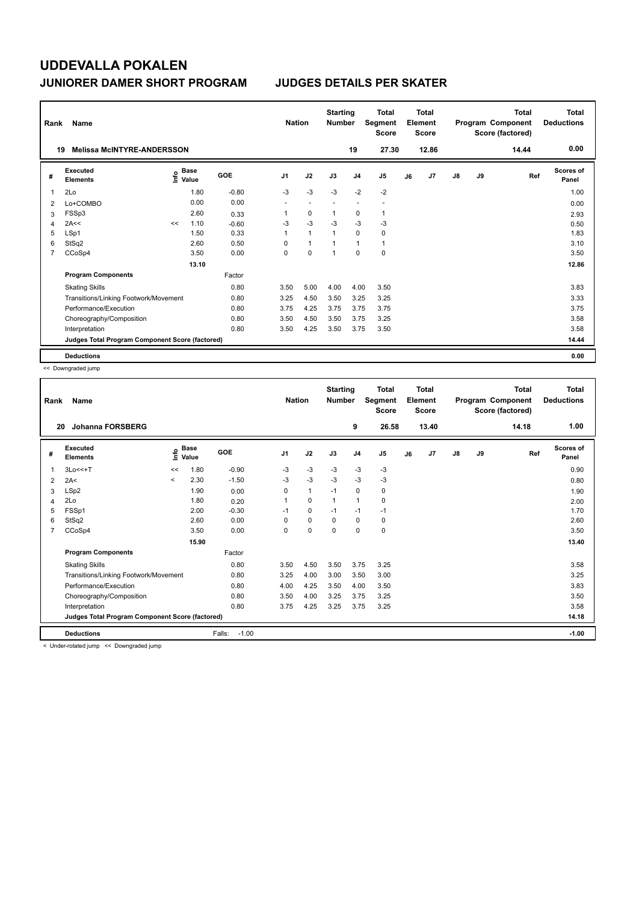| Rank           | Name                                            |    |                                             |         | <b>Nation</b>            |                          | <b>Starting</b><br><b>Number</b> |                | <b>Total</b><br>Segment<br><b>Score</b> |    | <b>Total</b><br>Element<br><b>Score</b> |               |    | <b>Total</b><br>Program Component<br>Score (factored) | <b>Total</b><br><b>Deductions</b> |
|----------------|-------------------------------------------------|----|---------------------------------------------|---------|--------------------------|--------------------------|----------------------------------|----------------|-----------------------------------------|----|-----------------------------------------|---------------|----|-------------------------------------------------------|-----------------------------------|
|                | <b>Melissa McINTYRE-ANDERSSON</b><br>19         |    |                                             |         |                          |                          |                                  | 19             | 27.30                                   |    | 12.86                                   |               |    | 14.44                                                 | 0.00                              |
| #              | Executed<br><b>Elements</b>                     |    | <b>Base</b><br>e <sup>Base</sup><br>⊆ Value | GOE     | J <sub>1</sub>           | J2                       | J3                               | J <sub>4</sub> | J <sub>5</sub>                          | J6 | J <sub>7</sub>                          | $\mathsf{J}8$ | J9 | Ref                                                   | <b>Scores of</b><br>Panel         |
| $\mathbf{1}$   | 2Lo                                             |    | 1.80                                        | $-0.80$ | $-3$                     | $-3$                     | $-3$                             | $-2$           | $-2$                                    |    |                                         |               |    |                                                       | 1.00                              |
| 2              | Lo+COMBO                                        |    | 0.00                                        | 0.00    | $\overline{\phantom{a}}$ | $\overline{\phantom{a}}$ | $\sim$                           | ٠              | $\blacksquare$                          |    |                                         |               |    |                                                       | 0.00                              |
| 3              | FSSp3                                           |    | 2.60                                        | 0.33    |                          | 0                        | $\mathbf 1$                      | 0              | 1                                       |    |                                         |               |    |                                                       | 2.93                              |
| $\overline{4}$ | 2A<<                                            | << | 1.10                                        | $-0.60$ | -3                       | $-3$                     | $-3$                             | $-3$           | $-3$                                    |    |                                         |               |    |                                                       | 0.50                              |
| 5              | LSp1                                            |    | 1.50                                        | 0.33    | 1                        | $\overline{1}$           | $\overline{1}$                   | $\Omega$       | 0                                       |    |                                         |               |    |                                                       | 1.83                              |
| 6              | StSq2                                           |    | 2.60                                        | 0.50    | 0                        | $\overline{1}$           | $\overline{1}$                   | $\mathbf{1}$   | $\mathbf{1}$                            |    |                                         |               |    |                                                       | 3.10                              |
| $\overline{7}$ | CCoSp4                                          |    | 3.50                                        | 0.00    | 0                        | $\mathbf 0$              | 1                                | $\mathbf 0$    | $\pmb{0}$                               |    |                                         |               |    |                                                       | 3.50                              |
|                |                                                 |    | 13.10                                       |         |                          |                          |                                  |                |                                         |    |                                         |               |    |                                                       | 12.86                             |
|                | <b>Program Components</b>                       |    |                                             | Factor  |                          |                          |                                  |                |                                         |    |                                         |               |    |                                                       |                                   |
|                | <b>Skating Skills</b>                           |    |                                             | 0.80    | 3.50                     | 5.00                     | 4.00                             | 4.00           | 3.50                                    |    |                                         |               |    |                                                       | 3.83                              |
|                | Transitions/Linking Footwork/Movement           |    |                                             | 0.80    | 3.25                     | 4.50                     | 3.50                             | 3.25           | 3.25                                    |    |                                         |               |    |                                                       | 3.33                              |
|                | Performance/Execution                           |    |                                             | 0.80    | 3.75                     | 4.25                     | 3.75                             | 3.75           | 3.75                                    |    |                                         |               |    |                                                       | 3.75                              |
|                | Choreography/Composition                        |    |                                             | 0.80    | 3.50                     | 4.50                     | 3.50                             | 3.75           | 3.25                                    |    |                                         |               |    |                                                       | 3.58                              |
|                | Interpretation                                  |    |                                             | 0.80    | 3.50                     | 4.25                     | 3.50                             | 3.75           | 3.50                                    |    |                                         |               |    |                                                       | 3.58                              |
|                | Judges Total Program Component Score (factored) |    |                                             |         |                          |                          |                                  |                |                                         |    |                                         |               |    |                                                       | 14.44                             |
|                | <b>Deductions</b>                               |    |                                             |         |                          |                          |                                  |                |                                         |    |                                         |               |    |                                                       | 0.00                              |

<< Downgraded jump

| Rank           | Name                                            |         |                      |                   | <b>Nation</b>  |              | <b>Starting</b><br><b>Number</b> |                | <b>Total</b><br>Segment<br><b>Score</b> |    | Total<br>Element<br><b>Score</b> |               |    | <b>Total</b><br>Program Component<br>Score (factored) | <b>Total</b><br><b>Deductions</b> |
|----------------|-------------------------------------------------|---------|----------------------|-------------------|----------------|--------------|----------------------------------|----------------|-----------------------------------------|----|----------------------------------|---------------|----|-------------------------------------------------------|-----------------------------------|
| 20             | Johanna FORSBERG                                |         |                      |                   |                |              |                                  | 9              | 26.58                                   |    | 13.40                            |               |    | 14.18                                                 | 1.00                              |
| #              | Executed<br><b>Elements</b>                     | ۴       | <b>Base</b><br>Value | GOE               | J <sub>1</sub> | J2           | J3                               | J <sub>4</sub> | J5                                      | J6 | J7                               | $\mathsf{J}8$ | J9 | Ref                                                   | <b>Scores of</b><br>Panel         |
| 1              | $3Lo<<+T$                                       | <<      | 1.80                 | $-0.90$           | $-3$           | $-3$         | $-3$                             | $-3$           | $-3$                                    |    |                                  |               |    |                                                       | 0.90                              |
| 2              | 2A<                                             | $\prec$ | 2.30                 | $-1.50$           | $-3$           | $-3$         | $-3$                             | $-3$           | $-3$                                    |    |                                  |               |    |                                                       | 0.80                              |
| 3              | LSp2                                            |         | 1.90                 | 0.00              | 0              | $\mathbf{1}$ | $-1$                             | $\mathbf 0$    | 0                                       |    |                                  |               |    |                                                       | 1.90                              |
| 4              | 2Lo                                             |         | 1.80                 | 0.20              |                | $\mathbf 0$  | 1                                | 1              | 0                                       |    |                                  |               |    |                                                       | 2.00                              |
| 5              | FSSp1                                           |         | 2.00                 | $-0.30$           | $-1$           | 0            | $-1$                             | $-1$           | $-1$                                    |    |                                  |               |    |                                                       | 1.70                              |
| 6              | StSq2                                           |         | 2.60                 | 0.00              | 0              | $\mathbf 0$  | $\mathbf 0$                      | $\mathbf 0$    | 0                                       |    |                                  |               |    |                                                       | 2.60                              |
| $\overline{7}$ | CCoSp4                                          |         | 3.50                 | 0.00              | 0              | $\mathbf 0$  | $\Omega$                         | $\mathbf 0$    | 0                                       |    |                                  |               |    |                                                       | 3.50                              |
|                |                                                 |         | 15.90                |                   |                |              |                                  |                |                                         |    |                                  |               |    |                                                       | 13.40                             |
|                | <b>Program Components</b>                       |         |                      | Factor            |                |              |                                  |                |                                         |    |                                  |               |    |                                                       |                                   |
|                | <b>Skating Skills</b>                           |         |                      | 0.80              | 3.50           | 4.50         | 3.50                             | 3.75           | 3.25                                    |    |                                  |               |    |                                                       | 3.58                              |
|                | Transitions/Linking Footwork/Movement           |         |                      | 0.80              | 3.25           | 4.00         | 3.00                             | 3.50           | 3.00                                    |    |                                  |               |    |                                                       | 3.25                              |
|                | Performance/Execution                           |         |                      | 0.80              | 4.00           | 4.25         | 3.50                             | 4.00           | 3.50                                    |    |                                  |               |    |                                                       | 3.83                              |
|                | Choreography/Composition                        |         |                      | 0.80              | 3.50           | 4.00         | 3.25                             | 3.75           | 3.25                                    |    |                                  |               |    |                                                       | 3.50                              |
|                | Interpretation                                  |         |                      | 0.80              | 3.75           | 4.25         | 3.25                             | 3.75           | 3.25                                    |    |                                  |               |    |                                                       | 3.58                              |
|                | Judges Total Program Component Score (factored) |         |                      |                   |                |              |                                  |                |                                         |    |                                  |               |    |                                                       | 14.18                             |
|                | <b>Deductions</b><br>.<br>$\cdots$              |         |                      | Falls:<br>$-1.00$ |                |              |                                  |                |                                         |    |                                  |               |    |                                                       | $-1.00$                           |

< Under-rotated jump << Downgraded jump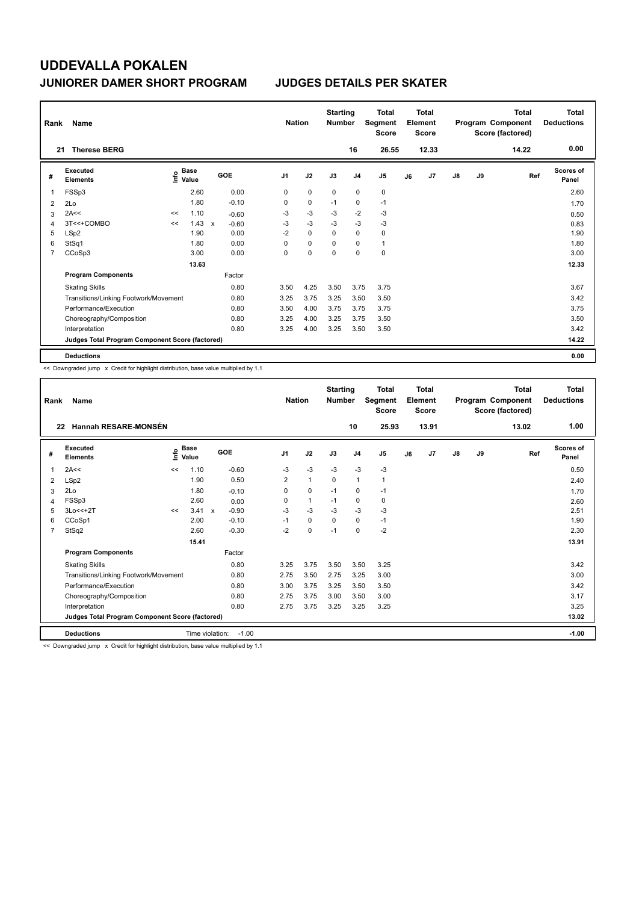| Rank           | Name                                            |    |                                      |              |         |                | <b>Nation</b> |             | <b>Starting</b><br><b>Number</b> |                | <b>Total</b><br>Segment<br><b>Score</b> |    | <b>Total</b><br>Element<br><b>Score</b> |               |    | <b>Total</b><br>Program Component<br>Score (factored) | Total<br><b>Deductions</b> |
|----------------|-------------------------------------------------|----|--------------------------------------|--------------|---------|----------------|---------------|-------------|----------------------------------|----------------|-----------------------------------------|----|-----------------------------------------|---------------|----|-------------------------------------------------------|----------------------------|
| 21             | <b>Therese BERG</b>                             |    |                                      |              |         |                |               |             |                                  | 16             | 26.55                                   |    | 12.33                                   |               |    | 14.22                                                 | 0.00                       |
| #              | Executed<br><b>Elements</b>                     |    | Base<br>e <sup>Base</sup><br>⊆ Value |              | GOE     | J <sub>1</sub> |               | J2          | J3                               | J <sub>4</sub> | J <sub>5</sub>                          | J6 | J7                                      | $\mathsf{J}8$ | J9 | Ref                                                   | <b>Scores of</b><br>Panel  |
| 1              | FSSp3                                           |    | 2.60                                 |              | 0.00    | 0              |               | $\mathbf 0$ | 0                                | 0              | 0                                       |    |                                         |               |    |                                                       | 2.60                       |
| 2              | 2Lo                                             |    | 1.80                                 |              | $-0.10$ | 0              |               | $\mathbf 0$ | $-1$                             | $\mathbf 0$    | $-1$                                    |    |                                         |               |    |                                                       | 1.70                       |
| 3              | 2A<<                                            | << | 1.10                                 |              | $-0.60$ | -3             |               | $-3$        | -3                               | $-2$           | $-3$                                    |    |                                         |               |    |                                                       | 0.50                       |
| 4              | 3T<<+COMBO                                      | << | 1.43                                 | $\mathbf{x}$ | $-0.60$ | $-3$           |               | $-3$        | $-3$                             | $-3$           | $-3$                                    |    |                                         |               |    |                                                       | 0.83                       |
| 5              | LSp2                                            |    | 1.90                                 |              | 0.00    | $-2$           |               | $\Omega$    | $\Omega$                         | 0              | 0                                       |    |                                         |               |    |                                                       | 1.90                       |
| 6              | StSq1                                           |    | 1.80                                 |              | 0.00    | 0              |               | $\mathbf 0$ | 0                                | 0              | $\mathbf{1}$                            |    |                                         |               |    |                                                       | 1.80                       |
| $\overline{7}$ | CCoSp3                                          |    | 3.00                                 |              | 0.00    | 0              |               | $\mathbf 0$ | $\mathbf 0$                      | $\mathbf 0$    | $\mathbf 0$                             |    |                                         |               |    |                                                       | 3.00                       |
|                |                                                 |    | 13.63                                |              |         |                |               |             |                                  |                |                                         |    |                                         |               |    |                                                       | 12.33                      |
|                | <b>Program Components</b>                       |    |                                      |              | Factor  |                |               |             |                                  |                |                                         |    |                                         |               |    |                                                       |                            |
|                | <b>Skating Skills</b>                           |    |                                      |              | 0.80    | 3.50           |               | 4.25        | 3.50                             | 3.75           | 3.75                                    |    |                                         |               |    |                                                       | 3.67                       |
|                | Transitions/Linking Footwork/Movement           |    |                                      |              | 0.80    | 3.25           |               | 3.75        | 3.25                             | 3.50           | 3.50                                    |    |                                         |               |    |                                                       | 3.42                       |
|                | Performance/Execution                           |    |                                      |              | 0.80    | 3.50           |               | 4.00        | 3.75                             | 3.75           | 3.75                                    |    |                                         |               |    |                                                       | 3.75                       |
|                | Choreography/Composition                        |    |                                      |              | 0.80    | 3.25           |               | 4.00        | 3.25                             | 3.75           | 3.50                                    |    |                                         |               |    |                                                       | 3.50                       |
|                | Interpretation                                  |    |                                      |              | 0.80    | 3.25           |               | 4.00        | 3.25                             | 3.50           | 3.50                                    |    |                                         |               |    |                                                       | 3.42                       |
|                | Judges Total Program Component Score (factored) |    |                                      |              |         |                |               |             |                                  |                |                                         |    |                                         |               |    |                                                       | 14.22                      |
|                | <b>Deductions</b>                               |    |                                      |              |         |                |               |             |                                  |                |                                         |    |                                         |               |    |                                                       | 0.00                       |

<< Downgraded jump x Credit for highlight distribution, base value multiplied by 1.1

| Rank           | Name                                            |    |                      |                                      | <b>Nation</b>  |              | <b>Starting</b><br><b>Number</b> |                | <b>Total</b><br>Segment<br><b>Score</b> |    | <b>Total</b><br>Element<br><b>Score</b> |               |    | <b>Total</b><br>Program Component<br>Score (factored) | <b>Total</b><br><b>Deductions</b> |
|----------------|-------------------------------------------------|----|----------------------|--------------------------------------|----------------|--------------|----------------------------------|----------------|-----------------------------------------|----|-----------------------------------------|---------------|----|-------------------------------------------------------|-----------------------------------|
|                | <b>Hannah RESARE-MONSÉN</b><br>22               |    |                      |                                      |                |              |                                  | 10             | 25.93                                   |    | 13.91                                   |               |    | 13.02                                                 | 1.00                              |
| #              | Executed<br><b>Elements</b>                     | ۴o | <b>Base</b><br>Value | GOE                                  | J <sub>1</sub> | J2           | J3                               | J <sub>4</sub> | J <sub>5</sub>                          | J6 | J7                                      | $\mathsf{J}8$ | J9 | Ref                                                   | Scores of<br>Panel                |
| 1              | 2A<<                                            | << | 1.10                 | $-0.60$                              | -3             | $-3$         | $-3$                             | $-3$           | $-3$                                    |    |                                         |               |    |                                                       | 0.50                              |
| 2              | LSp2                                            |    | 1.90                 | 0.50                                 | 2              | $\mathbf{1}$ | $\Omega$                         | 1              | 1                                       |    |                                         |               |    |                                                       | 2.40                              |
| 3              | 2Lo                                             |    | 1.80                 | $-0.10$                              | 0              | $\mathbf 0$  | $-1$                             | 0              | $-1$                                    |    |                                         |               |    |                                                       | 1.70                              |
| 4              | FSSp3                                           |    | 2.60                 | 0.00                                 | 0              | $\mathbf{1}$ | $-1$                             | 0              | 0                                       |    |                                         |               |    |                                                       | 2.60                              |
| 5              | 3Lo<<+2T                                        | << | 3.41                 | $-0.90$<br>$\boldsymbol{\mathsf{x}}$ | $-3$           | $-3$         | $-3$                             | $-3$           | $-3$                                    |    |                                         |               |    |                                                       | 2.51                              |
| 6              | CCoSp1                                          |    | 2.00                 | $-0.10$                              | $-1$           | 0            | $\mathbf 0$                      | $\mathbf 0$    | $-1$                                    |    |                                         |               |    |                                                       | 1.90                              |
| $\overline{7}$ | StSq2                                           |    | 2.60                 | $-0.30$                              | $-2$           | $\mathbf 0$  | $-1$                             | 0              | $-2$                                    |    |                                         |               |    |                                                       | 2.30                              |
|                |                                                 |    | 15.41                |                                      |                |              |                                  |                |                                         |    |                                         |               |    |                                                       | 13.91                             |
|                | <b>Program Components</b>                       |    |                      | Factor                               |                |              |                                  |                |                                         |    |                                         |               |    |                                                       |                                   |
|                | <b>Skating Skills</b>                           |    |                      | 0.80                                 | 3.25           | 3.75         | 3.50                             | 3.50           | 3.25                                    |    |                                         |               |    |                                                       | 3.42                              |
|                | Transitions/Linking Footwork/Movement           |    |                      | 0.80                                 | 2.75           | 3.50         | 2.75                             | 3.25           | 3.00                                    |    |                                         |               |    |                                                       | 3.00                              |
|                | Performance/Execution                           |    |                      | 0.80                                 | 3.00           | 3.75         | 3.25                             | 3.50           | 3.50                                    |    |                                         |               |    |                                                       | 3.42                              |
|                | Choreography/Composition                        |    |                      | 0.80                                 | 2.75           | 3.75         | 3.00                             | 3.50           | 3.00                                    |    |                                         |               |    |                                                       | 3.17                              |
|                | Interpretation                                  |    |                      | 0.80                                 | 2.75           | 3.75         | 3.25                             | 3.25           | 3.25                                    |    |                                         |               |    |                                                       | 3.25                              |
|                | Judges Total Program Component Score (factored) |    |                      |                                      |                |              |                                  |                |                                         |    |                                         |               |    |                                                       | 13.02                             |
|                | <b>Deductions</b>                               |    |                      | Time violation:<br>$-1.00$           |                |              |                                  |                |                                         |    |                                         |               |    |                                                       | $-1.00$                           |

<< Downgraded jump x Credit for highlight distribution, base value multiplied by 1.1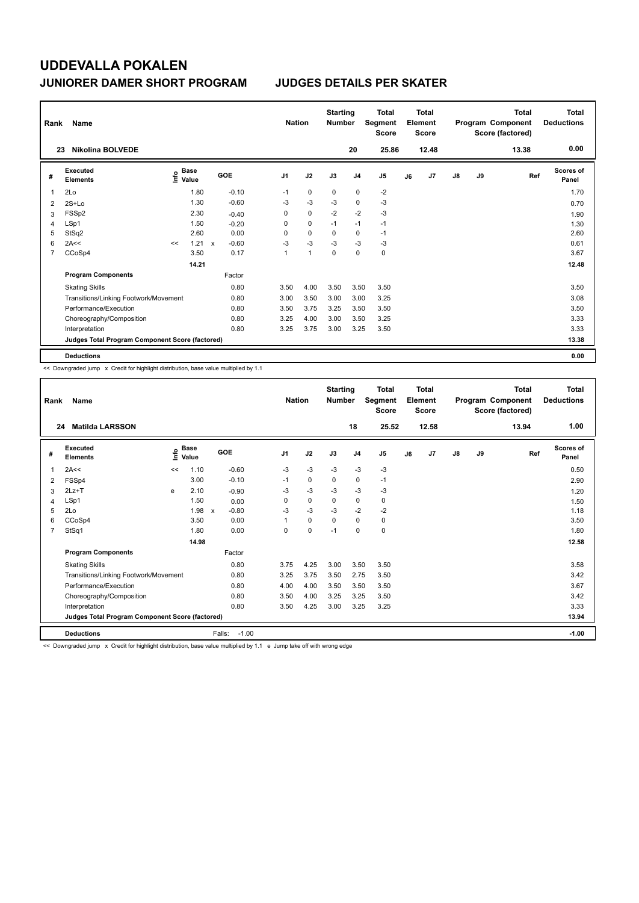| Rank           | Name                                            |    |                                             |              |         | <b>Nation</b>  |                | <b>Starting</b><br><b>Number</b> |                | <b>Total</b><br>Segment<br><b>Score</b> |    | <b>Total</b><br>Element<br><b>Score</b> |               |    | <b>Total</b><br>Program Component<br>Score (factored) | Total<br><b>Deductions</b> |
|----------------|-------------------------------------------------|----|---------------------------------------------|--------------|---------|----------------|----------------|----------------------------------|----------------|-----------------------------------------|----|-----------------------------------------|---------------|----|-------------------------------------------------------|----------------------------|
|                | <b>Nikolina BOLVEDE</b><br>23                   |    |                                             |              |         |                |                |                                  | 20             | 25.86                                   |    | 12.48                                   |               |    | 13.38                                                 | 0.00                       |
| #              | Executed<br><b>Elements</b>                     |    | <b>Base</b><br>e <sup>Base</sup><br>⊆ Value |              | GOE     | J <sub>1</sub> | J2             | J3                               | J <sub>4</sub> | J5                                      | J6 | J <sub>7</sub>                          | $\mathsf{J}8$ | J9 | Ref                                                   | <b>Scores of</b><br>Panel  |
| 1              | 2Lo                                             |    | 1.80                                        |              | $-0.10$ | $-1$           | 0              | 0                                | 0              | $-2$                                    |    |                                         |               |    |                                                       | 1.70                       |
| 2              | $2S+Lo$                                         |    | 1.30                                        |              | $-0.60$ | -3             | $-3$           | $-3$                             | $\mathbf 0$    | $-3$                                    |    |                                         |               |    |                                                       | 0.70                       |
| 3              | FSSp2                                           |    | 2.30                                        |              | $-0.40$ | 0              | $\mathbf 0$    | $-2$                             | $-2$           | $-3$                                    |    |                                         |               |    |                                                       | 1.90                       |
| 4              | LSp1                                            |    | 1.50                                        |              | $-0.20$ | 0              | $\mathbf 0$    | $-1$                             | $-1$           | $-1$                                    |    |                                         |               |    |                                                       | 1.30                       |
| 5              | StSq2                                           |    | 2.60                                        |              | 0.00    | 0              | $\mathbf 0$    | $\Omega$                         | $\mathbf 0$    | $-1$                                    |    |                                         |               |    |                                                       | 2.60                       |
| 6              | 2A<<                                            | << | 1.21                                        | $\mathsf{x}$ | $-0.60$ | $-3$           | $-3$           | $-3$                             | $-3$           | $-3$                                    |    |                                         |               |    |                                                       | 0.61                       |
| $\overline{7}$ | CCoSp4                                          |    | 3.50                                        |              | 0.17    | 1              | $\overline{1}$ | $\pmb{0}$                        | $\mathbf 0$    | 0                                       |    |                                         |               |    |                                                       | 3.67                       |
|                |                                                 |    | 14.21                                       |              |         |                |                |                                  |                |                                         |    |                                         |               |    |                                                       | 12.48                      |
|                | <b>Program Components</b>                       |    |                                             |              | Factor  |                |                |                                  |                |                                         |    |                                         |               |    |                                                       |                            |
|                | <b>Skating Skills</b>                           |    |                                             |              | 0.80    | 3.50           | 4.00           | 3.50                             | 3.50           | 3.50                                    |    |                                         |               |    |                                                       | 3.50                       |
|                | Transitions/Linking Footwork/Movement           |    |                                             |              | 0.80    | 3.00           | 3.50           | 3.00                             | 3.00           | 3.25                                    |    |                                         |               |    |                                                       | 3.08                       |
|                | Performance/Execution                           |    |                                             |              | 0.80    | 3.50           | 3.75           | 3.25                             | 3.50           | 3.50                                    |    |                                         |               |    |                                                       | 3.50                       |
|                | Choreography/Composition                        |    |                                             |              | 0.80    | 3.25           | 4.00           | 3.00                             | 3.50           | 3.25                                    |    |                                         |               |    |                                                       | 3.33                       |
|                | Interpretation                                  |    |                                             |              | 0.80    | 3.25           | 3.75           | 3.00                             | 3.25           | 3.50                                    |    |                                         |               |    |                                                       | 3.33                       |
|                | Judges Total Program Component Score (factored) |    |                                             |              |         |                |                |                                  |                |                                         |    |                                         |               |    |                                                       | 13.38                      |
|                | <b>Deductions</b>                               |    |                                             |              |         |                |                |                                  |                |                                         |    |                                         |               |    |                                                       | 0.00                       |

<< Downgraded jump x Credit for highlight distribution, base value multiplied by 1.1

| Rank           | Name                                            |    |                      |                         | <b>Nation</b>  |             | <b>Starting</b><br><b>Number</b> |                | <b>Total</b><br>Segment<br><b>Score</b> |    | <b>Total</b><br>Element<br><b>Score</b> |               |    | <b>Total</b><br>Program Component<br>Score (factored) | Total<br><b>Deductions</b> |
|----------------|-------------------------------------------------|----|----------------------|-------------------------|----------------|-------------|----------------------------------|----------------|-----------------------------------------|----|-----------------------------------------|---------------|----|-------------------------------------------------------|----------------------------|
|                | <b>Matilda LARSSON</b><br>24                    |    |                      |                         |                |             |                                  | 18             | 25.52                                   |    | 12.58                                   |               |    | 13.94                                                 | 1.00                       |
| #              | <b>Executed</b><br><b>Elements</b>              | ۴o | <b>Base</b><br>Value | GOE                     | J <sub>1</sub> | J2          | J3                               | J <sub>4</sub> | J <sub>5</sub>                          | J6 | J <sub>7</sub>                          | $\mathsf{J}8$ | J9 | Ref                                                   | <b>Scores of</b><br>Panel  |
| 1              | 2A<<                                            | << | 1.10                 | $-0.60$                 | $-3$           | $-3$        | $-3$                             | $-3$           | $-3$                                    |    |                                         |               |    |                                                       | 0.50                       |
| 2              | FSSp4                                           |    | 3.00                 | $-0.10$                 | $-1$           | $\mathbf 0$ | 0                                | 0              | $-1$                                    |    |                                         |               |    |                                                       | 2.90                       |
| 3              | $2Lz+T$                                         | e  | 2.10                 | $-0.90$                 | -3             | $-3$        | -3                               | $-3$           | $-3$                                    |    |                                         |               |    |                                                       | 1.20                       |
| 4              | LSp1                                            |    | 1.50                 | 0.00                    | 0              | $\mathbf 0$ | $\mathbf 0$                      | 0              | 0                                       |    |                                         |               |    |                                                       | 1.50                       |
| 5              | 2Lo                                             |    | 1.98                 | $-0.80$<br>$\mathbf{x}$ | $-3$           | $-3$        | $-3$                             | $-2$           | $-2$                                    |    |                                         |               |    |                                                       | 1.18                       |
| 6              | CCoSp4                                          |    | 3.50                 | 0.00                    |                | $\mathbf 0$ | $\mathbf 0$                      | 0              | 0                                       |    |                                         |               |    |                                                       | 3.50                       |
| $\overline{7}$ | StSq1                                           |    | 1.80                 | 0.00                    | $\Omega$       | $\mathbf 0$ | $-1$                             | 0              | 0                                       |    |                                         |               |    |                                                       | 1.80                       |
|                |                                                 |    | 14.98                |                         |                |             |                                  |                |                                         |    |                                         |               |    |                                                       | 12.58                      |
|                | <b>Program Components</b>                       |    |                      | Factor                  |                |             |                                  |                |                                         |    |                                         |               |    |                                                       |                            |
|                | <b>Skating Skills</b>                           |    |                      | 0.80                    | 3.75           | 4.25        | 3.00                             | 3.50           | 3.50                                    |    |                                         |               |    |                                                       | 3.58                       |
|                | Transitions/Linking Footwork/Movement           |    |                      | 0.80                    | 3.25           | 3.75        | 3.50                             | 2.75           | 3.50                                    |    |                                         |               |    |                                                       | 3.42                       |
|                | Performance/Execution                           |    |                      | 0.80                    | 4.00           | 4.00        | 3.50                             | 3.50           | 3.50                                    |    |                                         |               |    |                                                       | 3.67                       |
|                | Choreography/Composition                        |    |                      | 0.80                    | 3.50           | 4.00        | 3.25                             | 3.25           | 3.50                                    |    |                                         |               |    |                                                       | 3.42                       |
|                | Interpretation                                  |    |                      | 0.80                    | 3.50           | 4.25        | 3.00                             | 3.25           | 3.25                                    |    |                                         |               |    |                                                       | 3.33                       |
|                | Judges Total Program Component Score (factored) |    |                      |                         |                |             |                                  |                |                                         |    |                                         |               |    |                                                       | 13.94                      |
|                | <b>Deductions</b>                               |    |                      | Falls:<br>$-1.00$       |                |             |                                  |                |                                         |    |                                         |               |    |                                                       | $-1.00$                    |

<< Downgraded jump x Credit for highlight distribution, base value multiplied by 1.1 e Jump take off with wrong edge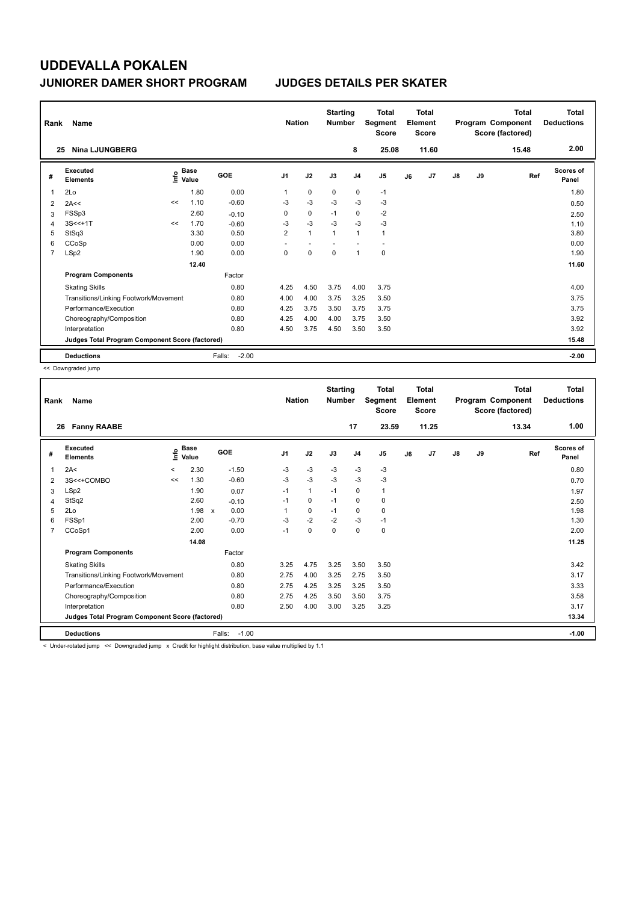| Rank                                            | Name                                  | <b>Nation</b>                    |       | <b>Starting</b><br><b>Number</b> |                | Total<br>Segment<br><b>Score</b> | <b>Total</b><br>Element<br><b>Score</b> |                |                |    | <b>Total</b><br>Program Component<br>Score (factored) | <b>Total</b><br><b>Deductions</b> |      |       |                           |
|-------------------------------------------------|---------------------------------------|----------------------------------|-------|----------------------------------|----------------|----------------------------------|-----------------------------------------|----------------|----------------|----|-------------------------------------------------------|-----------------------------------|------|-------|---------------------------|
| 25                                              | <b>Nina LJUNGBERG</b>                 |                                  |       |                                  |                |                                  |                                         | 8              | 25.08          |    | 11.60                                                 |                                   |      | 15.48 | 2.00                      |
| #                                               | Executed<br><b>Elements</b>           | <b>Base</b><br>e Base<br>E Value |       | GOE                              | J <sub>1</sub> | J2                               | J3                                      | J <sub>4</sub> | J <sub>5</sub> | J6 | J7                                                    | $\mathsf{J}8$                     | J9   | Ref   | <b>Scores of</b><br>Panel |
| $\overline{1}$                                  | 2Lo                                   |                                  | 1.80  | 0.00                             | 1              | $\mathbf 0$                      | 0                                       | 0              | $-1$           |    |                                                       |                                   |      |       | 1.80                      |
| 2                                               | 2A<<                                  | <<                               | 1.10  | $-0.60$                          | $-3$           | $-3$                             | $-3$                                    | $-3$           | $-3$           |    |                                                       |                                   |      |       | 0.50                      |
| 3                                               | FSSp3                                 |                                  | 2.60  | $-0.10$                          | 0              | $\mathbf 0$                      | $-1$                                    | $\mathbf 0$    | $-2$           |    |                                                       |                                   |      |       | 2.50                      |
| 4                                               | $3S < +1T$                            | <<                               | 1.70  | $-0.60$                          | $-3$           | $-3$                             | $-3$                                    | $-3$           | $-3$           |    |                                                       |                                   |      |       | 1.10                      |
| 5                                               | StSq3                                 |                                  | 3.30  | 0.50                             | $\overline{2}$ | $\mathbf{1}$                     | $\mathbf{1}$                            | $\mathbf{1}$   | $\mathbf{1}$   |    |                                                       |                                   |      |       | 3.80                      |
| 6                                               | CCoSp                                 |                                  | 0.00  | 0.00                             | ٠              |                                  |                                         |                |                |    |                                                       |                                   |      |       | 0.00                      |
| 7                                               | LSp2                                  |                                  | 1.90  | 0.00                             | 0              | 0                                | 0                                       | $\mathbf{1}$   | 0              |    |                                                       |                                   |      |       | 1.90                      |
|                                                 |                                       |                                  | 12.40 |                                  |                |                                  |                                         |                |                |    |                                                       |                                   |      |       | 11.60                     |
|                                                 | <b>Program Components</b>             |                                  |       | Factor                           |                |                                  |                                         |                |                |    |                                                       |                                   |      |       |                           |
|                                                 | <b>Skating Skills</b>                 | 0.80                             | 4.25  | 4.50                             | 3.75           | 4.00                             | 3.75                                    |                |                |    |                                                       |                                   | 4.00 |       |                           |
|                                                 | Transitions/Linking Footwork/Movement | 0.80                             | 4.00  | 4.00                             | 3.75           | 3.25                             | 3.50                                    |                |                |    |                                                       |                                   | 3.75 |       |                           |
|                                                 | Performance/Execution                 | 0.80                             | 4.25  | 3.75                             | 3.50           | 3.75                             | 3.75                                    |                |                |    |                                                       |                                   | 3.75 |       |                           |
|                                                 | Choreography/Composition              |                                  |       | 0.80                             | 4.25           | 4.00                             | 4.00                                    | 3.75           | 3.50           |    |                                                       |                                   |      |       | 3.92                      |
|                                                 | Interpretation                        |                                  |       | 0.80                             | 4.50           | 3.75                             | 4.50                                    | 3.50           | 3.50           |    |                                                       |                                   |      |       | 3.92                      |
| Judges Total Program Component Score (factored) |                                       |                                  |       |                                  |                |                                  |                                         |                |                |    |                                                       | 15.48                             |      |       |                           |
|                                                 | <b>Deductions</b>                     |                                  |       | $-2.00$<br>Falls:                |                |                                  |                                         |                |                |    |                                                       |                                   |      |       | $-2.00$                   |

<< Downgraded jump

|                | Name<br>Rank                                                                                                     |                            |               |  |                   |                |              | <b>Starting</b><br><b>Number</b> |                | <b>Total</b><br>Segment<br><b>Score</b> | <b>Total</b><br>Element<br><b>Score</b> |       |               |    | <b>Total</b><br>Program Component<br>Score (factored) | <b>Total</b><br><b>Deductions</b> |
|----------------|------------------------------------------------------------------------------------------------------------------|----------------------------|---------------|--|-------------------|----------------|--------------|----------------------------------|----------------|-----------------------------------------|-----------------------------------------|-------|---------------|----|-------------------------------------------------------|-----------------------------------|
| 26             | <b>Fanny RAABE</b>                                                                                               |                            |               |  |                   |                |              |                                  | 17             | 23.59                                   |                                         | 11.25 |               |    | 13.34                                                 | 1.00                              |
| #              | Executed<br><b>Elements</b>                                                                                      | <b>Base</b><br>۴ô<br>Value |               |  | GOE               | J <sub>1</sub> | J2           | J3                               | J <sub>4</sub> | J5                                      | J6                                      | J7    | $\mathsf{J}8$ | J9 | Ref                                                   | <b>Scores of</b><br>Panel         |
| 1              | 2A<                                                                                                              | $\overline{\phantom{0}}$   | 2.30          |  | $-1.50$           | $-3$           | $-3$         | $-3$                             | $-3$           | $-3$                                    |                                         |       |               |    |                                                       | 0.80                              |
| 2              | 3S<<+COMBO                                                                                                       | <<                         | 1.30          |  | $-0.60$           | $-3$           | $-3$         | $-3$                             | $-3$           | $-3$                                    |                                         |       |               |    |                                                       | 0.70                              |
| 3              | LSp2                                                                                                             |                            | 1.90          |  | 0.07              | $-1$           | $\mathbf{1}$ | $-1$                             | 0              | 1                                       |                                         |       |               |    |                                                       | 1.97                              |
| 4              | StSq2                                                                                                            |                            | 2.60          |  | $-0.10$           | $-1$           | 0            | $-1$                             | 0              | 0                                       |                                         |       |               |    |                                                       | 2.50                              |
| 5              | 2Lo                                                                                                              |                            | $1.98 \times$ |  | 0.00              |                | 0            | $-1$                             | $\Omega$       | 0                                       |                                         |       |               |    |                                                       | 1.98                              |
| 6              | FSSp1                                                                                                            |                            | 2.00          |  | $-0.70$           | $-3$           | $-2$         | $-2$                             | $-3$           | $-1$                                    |                                         |       |               |    |                                                       | 1.30                              |
| $\overline{7}$ | CCoSp1                                                                                                           |                            | 2.00          |  | 0.00              | $-1$           | $\mathbf 0$  | $\Omega$                         | $\mathbf 0$    | 0                                       |                                         |       |               |    |                                                       | 2.00                              |
|                |                                                                                                                  |                            | 14.08         |  |                   |                |              |                                  |                |                                         |                                         |       |               |    |                                                       | 11.25                             |
|                | <b>Program Components</b>                                                                                        |                            |               |  | Factor            |                |              |                                  |                |                                         |                                         |       |               |    |                                                       |                                   |
|                | <b>Skating Skills</b>                                                                                            |                            |               |  | 0.80              | 3.25           | 4.75         | 3.25                             | 3.50           | 3.50                                    |                                         |       |               |    |                                                       | 3.42                              |
|                | Transitions/Linking Footwork/Movement                                                                            |                            |               |  | 0.80              | 2.75           | 4.00         | 3.25                             | 2.75           | 3.50                                    |                                         |       |               |    |                                                       | 3.17                              |
|                | Performance/Execution                                                                                            |                            |               |  | 0.80              | 2.75           | 4.25         | 3.25                             | 3.25           | 3.50                                    |                                         |       |               |    |                                                       | 3.33                              |
|                | Choreography/Composition                                                                                         |                            |               |  | 0.80              | 2.75           | 4.25         | 3.50                             | 3.50           | 3.75                                    |                                         |       |               |    |                                                       | 3.58                              |
|                | Interpretation                                                                                                   |                            |               |  | 0.80              | 2.50           | 4.00         | 3.00                             | 3.25           | 3.25                                    |                                         |       |               |    |                                                       | 3.17                              |
|                | Judges Total Program Component Score (factored)                                                                  |                            |               |  |                   |                |              |                                  |                |                                         |                                         |       |               |    |                                                       | 13.34                             |
|                | <b>Deductions</b>                                                                                                |                            |               |  | $-1.00$<br>Falls: |                |              |                                  |                |                                         |                                         |       |               |    |                                                       | $-1.00$                           |
|                | a Theological Street (and Decomposited Street of Occupation Brakingham disadiction (because in a contradict of A |                            |               |  |                   |                |              |                                  |                |                                         |                                         |       |               |    |                                                       |                                   |

nder-rotated jump << Downgraded jump x Credit for highlight distribution, base value multiplied by 1.1